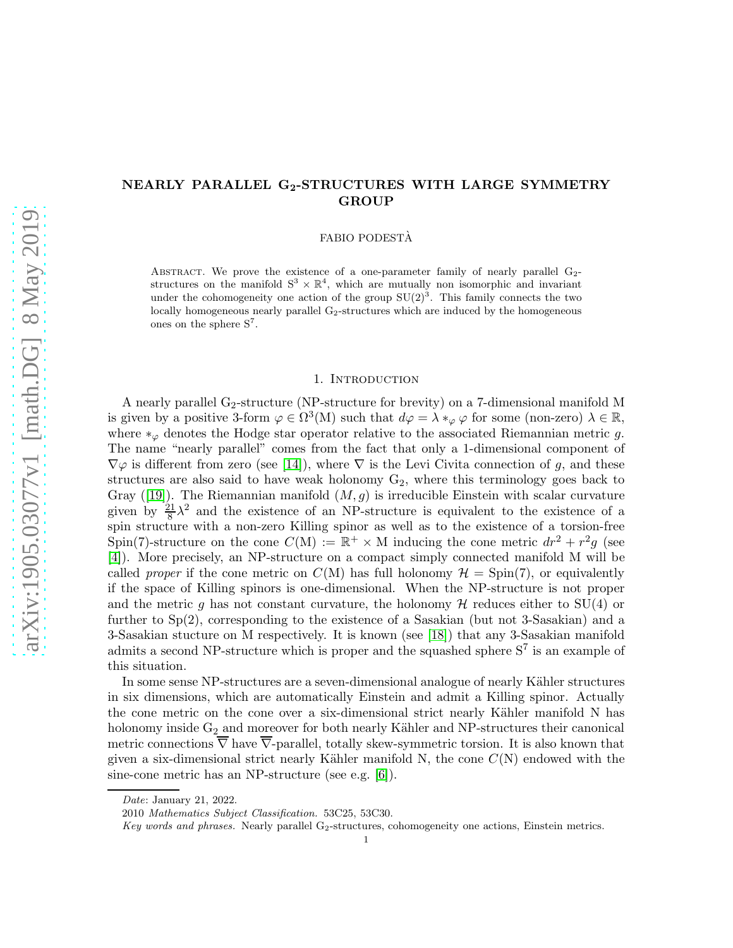# NEARLY PARALLEL G2-STRUCTURES WITH LARGE SYMMETRY **GROUP**

FABIO PODESTÀ

ABSTRACT. We prove the existence of a one-parameter family of nearly parallel  $G<sub>2</sub>$ structures on the manifold  $S^3 \times \mathbb{R}^4$ , which are mutually non isomorphic and invariant under the cohomogeneity one action of the group  $SU(2)^3$ . This family connects the two locally homogeneous nearly parallel  $G<sub>2</sub>$ -structures which are induced by the homogeneous ones on the sphere  $S^7$ .

#### 1. INTRODUCTION

A nearly parallel G2-structure (NP-structure for brevity) on a 7-dimensional manifold M is given by a positive 3-form  $\varphi \in \Omega^3(M)$  such that  $d\varphi = \lambda *_{\varphi} \varphi$  for some (non-zero)  $\lambda \in \mathbb{R}$ , where  $*_\varphi$  denotes the Hodge star operator relative to the associated Riemannian metric g. The name "nearly parallel" comes from the fact that only a 1-dimensional component of  $\nabla\varphi$  is different from zero (see [\[14\]](#page-18-0)), where  $\nabla$  is the Levi Civita connection of g, and these structures are also said to have weak holonomy  $G_2$ , where this terminology goes back to Gray ([\[19\]](#page-19-0)). The Riemannian manifold  $(M, g)$  is irreducible Einstein with scalar curvature given by  $\frac{21}{8}\lambda^2$  and the existence of an NP-structure is equivalent to the existence of a spin structure with a non-zero Killing spinor as well as to the existence of a torsion-free Spin(7)-structure on the cone  $C(M) := \mathbb{R}^+ \times M$  inducing the cone metric  $dr^2 + r^2g$  (see [\[4\]](#page-18-1)). More precisely, an NP-structure on a compact simply connected manifold M will be called *proper* if the cone metric on  $C(M)$  has full holonomy  $\mathcal{H} = \text{Spin}(7)$ , or equivalently if the space of Killing spinors is one-dimensional. When the NP-structure is not proper and the metric g has not constant curvature, the holonomy  $\mathcal H$  reduces either to SU(4) or further to Sp(2), corresponding to the existence of a Sasakian (but not 3-Sasakian) and a 3-Sasakian stucture on M respectively. It is known (see [\[18\]](#page-19-1)) that any 3-Sasakian manifold admits a second NP-structure which is proper and the squashed sphere  $S^7$  is an example of this situation.

In some sense NP-structures are a seven-dimensional analogue of nearly Kähler structures in six dimensions, which are automatically Einstein and admit a Killing spinor. Actually the cone metric on the cone over a six-dimensional strict nearly Kähler manifold N has holonomy inside  $G_2$  and moreover for both nearly Kähler and NP-structures their canonical metric connections  $\overline{\nabla}$  have  $\overline{\nabla}$ -parallel, totally skew-symmetric torsion. It is also known that given a six-dimensional strict nearly Kähler manifold N, the cone  $C(N)$  endowed with the sine-cone metric has an NP-structure (see e.g. [\[6\]](#page-18-2)).

Date: January 21, 2022.

<sup>2010</sup> Mathematics Subject Classification. 53C25, 53C30.

Key words and phrases. Nearly parallel G<sub>2</sub>-structures, cohomogeneity one actions, Einstein metrics.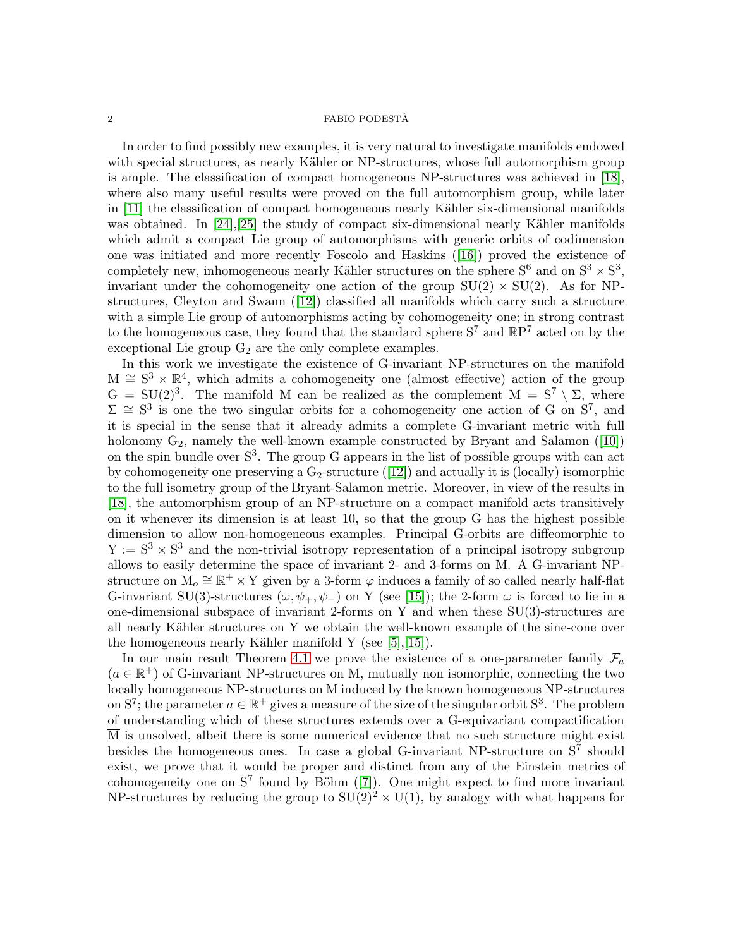In order to find possibly new examples, it is very natural to investigate manifolds endowed with special structures, as nearly Kähler or NP-structures, whose full automorphism group is ample. The classification of compact homogeneous NP-structures was achieved in [\[18\]](#page-19-1), where also many useful results were proved on the full automorphism group, while later in  $[11]$  the classification of compact homogeneous nearly Kähler six-dimensional manifolds was obtained. In  $[24],[25]$  $[24],[25]$  the study of compact six-dimensional nearly Kähler manifolds which admit a compact Lie group of automorphisms with generic orbits of codimension one was initiated and more recently Foscolo and Haskins ([\[16\]](#page-19-4)) proved the existence of completely new, inhomogeneous nearly Kähler structures on the sphere  $S^6$  and on  $S^3 \times S^3$ , invariant under the cohomogeneity one action of the group  $SU(2) \times SU(2)$ . As for NPstructures, Cleyton and Swann ([\[12\]](#page-18-4)) classified all manifolds which carry such a structure with a simple Lie group of automorphisms acting by cohomogeneity one; in strong contrast to the homogeneous case, they found that the standard sphere  $S^7$  and  $\mathbb{R}P^7$  acted on by the exceptional Lie group  $G_2$  are the only complete examples.

In this work we investigate the existence of G-invariant NP-structures on the manifold  $M \cong S^3 \times \mathbb{R}^4$ , which admits a cohomogeneity one (almost effective) action of the group  $G = SU(2)^3$ . The manifold M can be realized as the complement  $M = S^7 \setminus \Sigma$ , where  $\Sigma \cong S^3$  is one the two singular orbits for a cohomogeneity one action of G on  $S^7$ , and it is special in the sense that it already admits a complete G-invariant metric with full holonomy  $G_2$ , namely the well-known example constructed by Bryant and Salamon ([\[10\]](#page-18-5)) on the spin bundle over  $S^3$ . The group G appears in the list of possible groups with can act by cohomogeneity one preserving a  $G_2$ -structure ([\[12\]](#page-18-4)) and actually it is (locally) isomorphic to the full isometry group of the Bryant-Salamon metric. Moreover, in view of the results in [\[18\]](#page-19-1), the automorphism group of an NP-structure on a compact manifold acts transitively on it whenever its dimension is at least 10, so that the group G has the highest possible dimension to allow non-homogeneous examples. Principal G-orbits are diffeomorphic to  $Y := S<sup>3</sup> \times S<sup>3</sup>$  and the non-trivial isotropy representation of a principal isotropy subgroup allows to easily determine the space of invariant 2- and 3-forms on M. A G-invariant NPstructure on  $M_0 \cong \mathbb{R}^+ \times Y$  given by a 3-form  $\varphi$  induces a family of so called nearly half-flat G-invariant SU(3)-structures ( $\omega, \psi_+, \psi_-$ ) on Y (see [\[15\]](#page-18-6)); the 2-form  $\omega$  is forced to lie in a one-dimensional subspace of invariant 2-forms on Y and when these SU(3)-structures are all nearly Kähler structures on Y we obtain the well-known example of the sine-cone over the homogeneous nearly Kähler manifold Y (see  $[5], [15]$  $[5], [15]$ ).

In our main result Theorem [4.1](#page-14-0) we prove the existence of a one-parameter family  $\mathcal{F}_a$  $(a \in \mathbb{R}^+)$  of G-invariant NP-structures on M, mutually non isomorphic, connecting the two locally homogeneous NP-structures on M induced by the known homogeneous NP-structures on  $S^7$ ; the parameter  $a \in \mathbb{R}^+$  gives a measure of the size of the singular orbit  $S^3$ . The problem of understanding which of these structures extends over a G-equivariant compactification M is unsolved, albeit there is some numerical evidence that no such structure might exist besides the homogeneous ones. In case a global G-invariant NP-structure on  $S^7$  should exist, we prove that it would be proper and distinct from any of the Einstein metrics of cohomogeneity one on  $S^7$  found by Böhm ([\[7\]](#page-18-8)). One might expect to find more invariant NP-structures by reducing the group to  $SU(2)^2 \times U(1)$ , by analogy with what happens for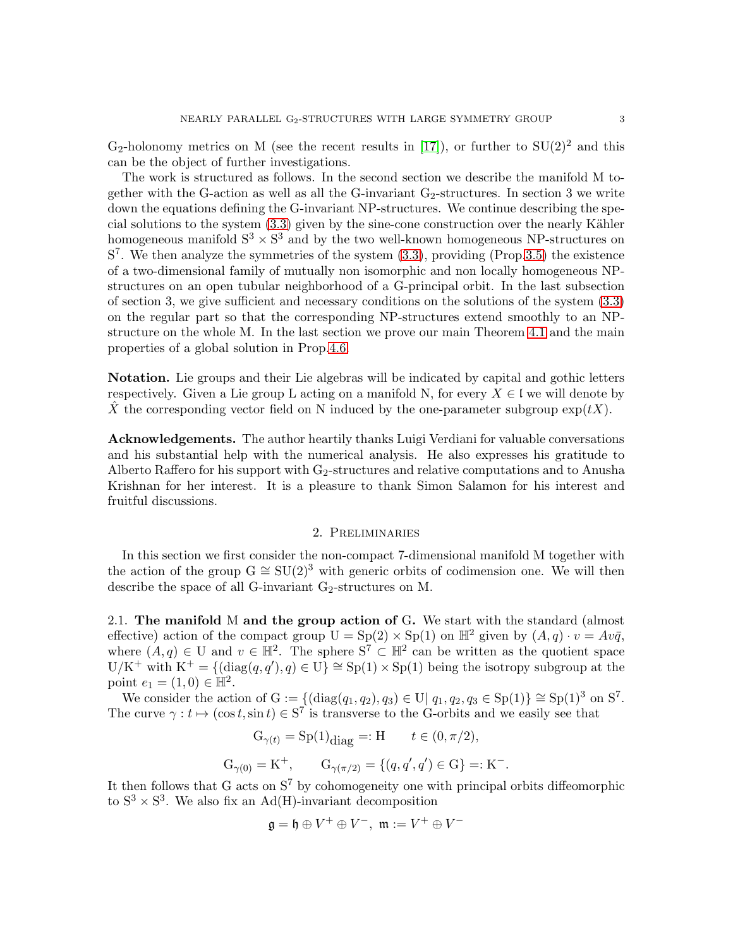$G_2$ -holonomy metrics on M (see the recent results in [\[17\]](#page-19-5)), or further to  $SU(2)^2$  and this can be the object of further investigations.

The work is structured as follows. In the second section we describe the manifold M together with the G-action as well as all the G-invariant  $G_2$ -structures. In section 3 we write down the equations defining the G-invariant NP-structures. We continue describing the special solutions to the system  $(3.3)$  given by the sine-cone construction over the nearly Kähler homogeneous manifold  $S^3 \times S^3$  and by the two well-known homogeneous NP-structures on  $S<sup>7</sup>$ . We then analyze the symmetries of the system  $(3.3)$ , providing (Prop[.3.5\)](#page-11-0) the existence of a two-dimensional family of mutually non isomorphic and non locally homogeneous NPstructures on an open tubular neighborhood of a G-principal orbit. In the last subsection of section 3, we give sufficient and necessary conditions on the solutions of the system [\(3.3\)](#page-6-0) on the regular part so that the corresponding NP-structures extend smoothly to an NPstructure on the whole M. In the last section we prove our main Theorem [4.1](#page-14-0) and the main properties of a global solution in Prop[.4.6.](#page-17-0)

Notation. Lie groups and their Lie algebras will be indicated by capital and gothic letters respectively. Given a Lie group L acting on a manifold N, for every  $X \in \mathfrak{l}$  we will denote by X the corresponding vector field on N induced by the one-parameter subgroup  $exp(tX)$ .

Acknowledgements. The author heartily thanks Luigi Verdiani for valuable conversations and his substantial help with the numerical analysis. He also expresses his gratitude to Alberto Raffero for his support with  $G_2$ -structures and relative computations and to Anusha Krishnan for her interest. It is a pleasure to thank Simon Salamon for his interest and fruitful discussions.

#### 2. Preliminaries

In this section we first consider the non-compact 7-dimensional manifold M together with the action of the group  $G \cong SU(2)^3$  with generic orbits of codimension one. We will then describe the space of all G-invariant  $G_2$ -structures on M.

2.1. The manifold M and the group action of G. We start with the standard (almost effective) action of the compact group  $U = Sp(2) \times Sp(1)$  on  $\mathbb{H}^2$  given by  $(A, q) \cdot v = Av\overline{q}$ , where  $(A, q) \in U$  and  $v \in \mathbb{H}^2$ . The sphere  $S^7 \subset \mathbb{H}^2$  can be written as the quotient space  $U/K^+$  with  $K^+ = \{(\text{diag}(q, q'), q) \in U\} \cong Sp(1) \times Sp(1)$  being the isotropy subgroup at the point  $e_1 = (1, 0) \in \mathbb{H}^2$ .

We consider the action of  $G := \{(\text{diag}(q_1, q_2), q_3) \in U | q_1, q_2, q_3 \in Sp(1)\} \cong Sp(1)^3$  on  $S^7$ . The curve  $\gamma : t \mapsto (\cos t, \sin t) \in S^7$  is transverse to the G-orbits and we easily see that

$$
G_{\gamma(t)} = Sp(1)_{\text{diag}} =: H \qquad t \in (0, \pi/2),
$$
  

$$
G_{\gamma(0)} = K^{+}, \qquad G_{\gamma(\pi/2)} = \{(q, q', q') \in G\} =: K^{-}.
$$

It then follows that G acts on  $S^7$  by cohomogeneity one with principal orbits diffeomorphic to  $S^3 \times S^3$ . We also fix an Ad(H)-invariant decomposition

$$
\mathfrak{g}=\mathfrak{h}\oplus V^+\oplus V^-,\ \mathfrak{m}:=V^+\oplus V^-
$$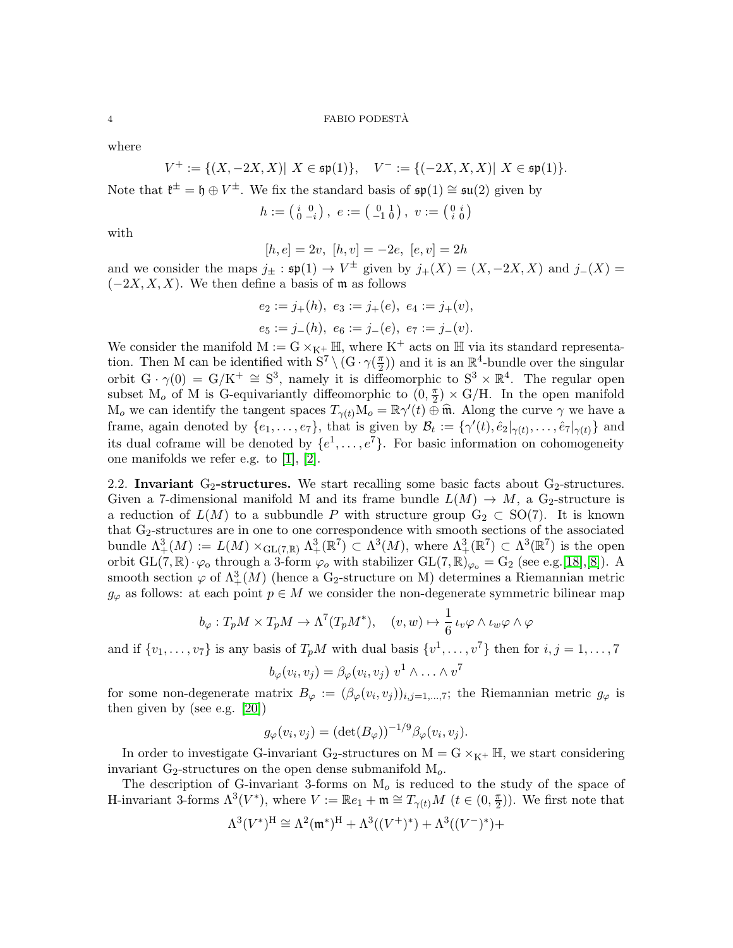where

$$
V^+:=\{(X,-2X,X)|\ X\in\mathfrak{sp}(1)\},\quad V^-:=\{(-2X,X,X)|\ X\in\mathfrak{sp}(1)\}.
$$

Note that  $\mathfrak{k}^{\pm} = \mathfrak{h} \oplus V^{\pm}$ . We fix the standard basis of  $\mathfrak{sp}(1) \cong \mathfrak{su}(2)$  given by

$$
h:=\left(\begin{smallmatrix} i&0\\0&-i\end{smallmatrix}\right),\ e:=\left(\begin{smallmatrix} 0&1\\-1&0\end{smallmatrix}\right),\ v:=\left(\begin{smallmatrix} 0&i\\i&0\end{smallmatrix}\right)
$$

with

 $[h, e] = 2v, [h, v] = -2e, [e, v] = 2h$ 

and we consider the maps  $j_{\pm}$ :  $\mathfrak{sp}(1) \to V^{\pm}$  given by  $j_{+}(X) = (X, -2X, X)$  and  $j_{-}(X) =$  $(-2X, X, X)$ . We then define a basis of m as follows

$$
e_2 := j_+(h), e_3 := j_+(e), e_4 := j_+(v),
$$
  
 $e_5 := j_-(h), e_6 := j_-(e), e_7 := j_-(v).$ 

We consider the manifold  $M := G \times_{K^+} \mathbb{H}$ , where  $K^+$  acts on  $\mathbb{H}$  via its standard representation. Then M can be identified with  $S^7 \setminus (G \cdot \gamma(\frac{\pi}{2}))$  $(\frac{\pi}{2})$  and it is an  $\mathbb{R}^4$ -bundle over the singular orbit  $G \cdot \gamma(0) = G/K^+ \cong S^3$ , namely it is diffeomorphic to  $S^3 \times \mathbb{R}^4$ . The regular open subset  $M_o$  of M is G-equivariantly diffeomorphic to  $(0, \frac{\pi}{2})$  $(\frac{\pi}{2}) \times G/H$ . In the open manifold M<sub>o</sub> we can identify the tangent spaces  $T_{\gamma(t)}\overline{M}_o = \mathbb{R}\gamma'(t) \oplus \widehat{\mathbb{m}}$ . Along the curve  $\gamma$  we have a frame, again denoted by  $\{e_1, \ldots, e_7\}$ , that is given by  $\mathcal{B}_t := \{\gamma'(t), \hat{e}_2|_{\gamma(t)}, \ldots, \hat{e}_7|_{\gamma(t)}\}$  and its dual coframe will be denoted by  $\{e^1, \ldots, e^7\}$ . For basic information on cohomogeneity one manifolds we refer e.g. to [\[1\]](#page-18-9), [\[2\]](#page-18-10).

2.2. Invariant  $G_2$ -structures. We start recalling some basic facts about  $G_2$ -structures. Given a 7-dimensional manifold M and its frame bundle  $L(M) \to M$ , a G<sub>2</sub>-structure is a reduction of  $L(M)$  to a subbundle P with structure group  $G_2 \subset SO(7)$ . It is known that  $G_2$ -structures are in one to one correspondence with smooth sections of the associated bundle  $\Lambda^3_+(M) := L(M) \times_{\text{GL}(7,\mathbb{R})} \Lambda^3_+(\mathbb{R}^7) \subset \Lambda^3(M)$ , where  $\Lambda^3_+(\mathbb{R}^7) \subset \Lambda^3(\mathbb{R}^7)$  is the open orbit  $GL(7,\mathbb{R})\cdot\varphi_0$  through a 3-form  $\varphi_0$  with stabilizer  $GL(7,\mathbb{R})_{\varphi_0} = G_2$  (see e.g.[\[18\]](#page-19-1),[\[8\]](#page-18-11)). A smooth section  $\varphi$  of  $\Lambda^3_+(M)$  (hence a G<sub>2</sub>-structure on M) determines a Riemannian metric  $g_{\varphi}$  as follows: at each point  $p \in M$  we consider the non-degenerate symmetric bilinear map

$$
b_{\varphi}: T_p M \times T_p M \to \Lambda^7(T_p M^*), \quad (v, w) \mapsto \frac{1}{6} \iota_v \varphi \wedge \iota_w \varphi \wedge \varphi
$$

and if  $\{v_1, \ldots, v_7\}$  is any basis of  $T_pM$  with dual basis  $\{v^1, \ldots, v^7\}$  then for  $i, j = 1, \ldots, 7$ 

$$
b_{\varphi}(v_i, v_j) = \beta_{\varphi}(v_i, v_j) v^1 \wedge \ldots \wedge v^7
$$

for some non-degenerate matrix  $B_{\varphi} := (\beta_{\varphi}(v_i, v_j))_{i,j=1,\dots,7}$ ; the Riemannian metric  $g_{\varphi}$  is then given by (see e.g. [\[20\]](#page-19-6))

$$
g_{\varphi}(v_i, v_j) = (\det(B_{\varphi}))^{-1/9} \beta_{\varphi}(v_i, v_j).
$$

In order to investigate G-invariant G<sub>2</sub>-structures on  $M = G \times_{K^+} \mathbb{H}$ , we start considering invariant  $G_2$ -structures on the open dense submanifold  $M_o$ .

The description of G-invariant 3-forms on  $M<sub>o</sub>$  is reduced to the study of the space of H-invariant 3-forms  $\Lambda^3(V^*)$ , where  $V := \mathbb{R}e_1 + \mathfrak{m} \cong T_{\gamma(t)}M$   $(t \in (0, \frac{\pi}{2})$  $(\frac{\pi}{2})$ ). We first note that

$$
\Lambda^3(V^*)^{\mathrm{H}}\cong\Lambda^2(\mathfrak{m}^*)^{\mathrm{H}}+\Lambda^3((V^+)^*)+\Lambda^3((V^-)^*)+
$$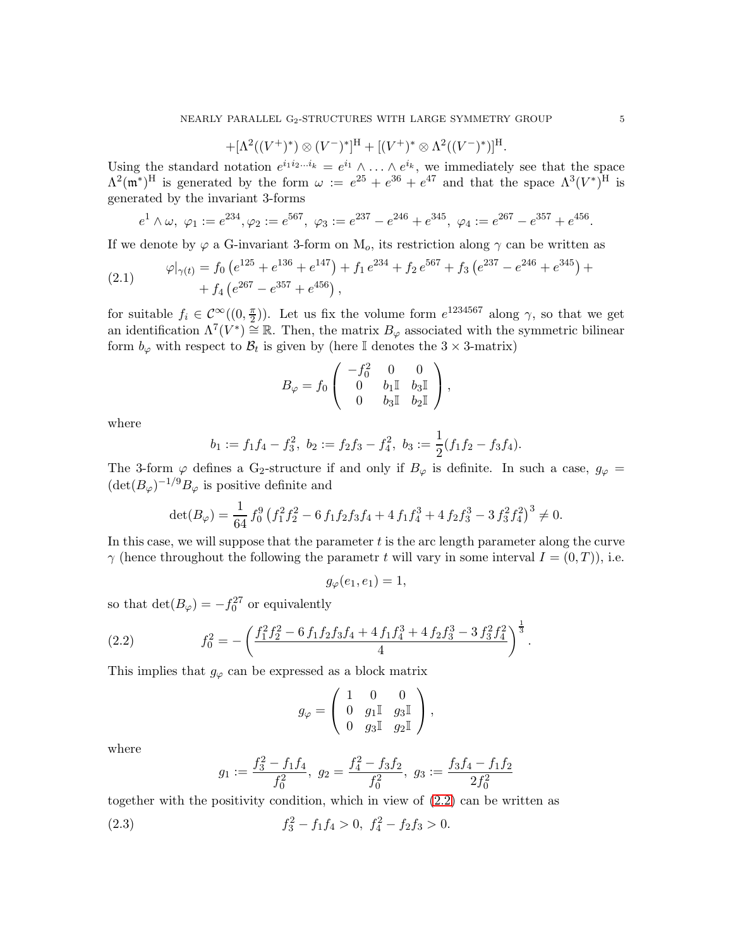$$
+ [\Lambda^2((V^+)^*) \otimes (V^-)^*]^{\mathrm{H}} + [(V^+)^* \otimes \Lambda^2((V^-)^*)]^{\mathrm{H}}.
$$

Using the standard notation  $e^{i_1 i_2 \dots i_k} = e^{i_1} \wedge \dots \wedge e^{i_k}$ , we immediately see that the space  $\Lambda^2(\mathfrak{m}^*)^H$  is generated by the form  $\omega := e^{25} + e^{36} + e^{47}$  and that the space  $\Lambda^3(V^*)^H$  is generated by the invariant 3-forms

$$
e^1 \wedge \omega
$$
,  $\varphi_1 := e^{234}$ ,  $\varphi_2 := e^{567}$ ,  $\varphi_3 := e^{237} - e^{246} + e^{345}$ ,  $\varphi_4 := e^{267} - e^{357} + e^{456}$ 

If we denote by  $\varphi$  a G-invariant 3-form on  $M_o$ , its restriction along  $\gamma$  can be written as

<span id="page-4-1"></span>(2.1) 
$$
\varphi|_{\gamma(t)} = f_0 \left( e^{125} + e^{136} + e^{147} \right) + f_1 e^{234} + f_2 e^{567} + f_3 \left( e^{237} - e^{246} + e^{345} \right) + f_4 \left( e^{267} - e^{357} + e^{456} \right),
$$

for suitable  $f_i \in C^{\infty}(\left(0, \frac{\pi}{2}\right))$  $(\frac{\pi}{2})$ ). Let us fix the volume form  $e^{1234567}$  along  $\gamma$ , so that we get an identification  $\Lambda^7(V^*) \cong \mathbb{R}$ . Then, the matrix  $B_{\varphi}$  associated with the symmetric bilinear form  $b_{\varphi}$  with respect to  $\mathcal{B}_t$  is given by (here  $\mathbb I$  denotes the  $3 \times 3$ -matrix)

$$
B_{\varphi} = f_0 \left( \begin{array}{ccc} -f_0^2 & 0 & 0 \\ 0 & b_1 \mathbb{I} & b_3 \mathbb{I} \\ 0 & b_3 \mathbb{I} & b_2 \mathbb{I} \end{array} \right),
$$

where

$$
b_1 := f_1 f_4 - f_3^2
$$
,  $b_2 := f_2 f_3 - f_4^2$ ,  $b_3 := \frac{1}{2} (f_1 f_2 - f_3 f_4)$ .

The 3-form  $\varphi$  defines a G<sub>2</sub>-structure if and only if  $B_{\varphi}$  is definite. In such a case,  $g_{\varphi} =$  $(\det(B_{\varphi})^{-1/9}B_{\varphi})$  is positive definite and

$$
\det(B_{\varphi}) = \frac{1}{64} f_0^9 \left( f_1^2 f_2^2 - 6 f_1 f_2 f_3 f_4 + 4 f_1 f_4^3 + 4 f_2 f_3^3 - 3 f_3^2 f_4^2 \right)^3 \neq 0.
$$

In this case, we will suppose that the parameter  $t$  is the arc length parameter along the curve  $\gamma$  (hence throughout the following the parametr t will vary in some interval  $I = (0, T)$ ), i.e.

$$
g_{\varphi}(e_1, e_1) = 1,
$$

so that  $\det(B_{\varphi}) = -f_0^{27}$  or equivalently

<span id="page-4-0"></span>(2.2) 
$$
f_0^2 = -\left(\frac{f_1^2 f_2^2 - 6 f_1 f_2 f_3 f_4 + 4 f_1 f_4^3 + 4 f_2 f_3^3 - 3 f_3^2 f_4^2}{4}\right)^{\frac{1}{3}}.
$$

This implies that  $g_{\varphi}$  can be expressed as a block matrix

$$
g_{\varphi} = \left( \begin{array}{ccc} 1 & 0 & 0 \\ 0 & g_1 \mathbb{I} & g_3 \mathbb{I} \\ 0 & g_3 \mathbb{I} & g_2 \mathbb{I} \end{array} \right),
$$

where

$$
g_1 := \frac{f_3^2 - f_1 f_4}{f_0^2}
$$
,  $g_2 = \frac{f_4^2 - f_3 f_2}{f_0^2}$ ,  $g_3 := \frac{f_3 f_4 - f_1 f_2}{2 f_0^2}$ 

together with the positivity condition, which in view of [\(2.2\)](#page-4-0) can be written as

(2.3) 
$$
f_3^2 - f_1 f_4 > 0, \ f_4^2 - f_2 f_3 > 0.
$$

.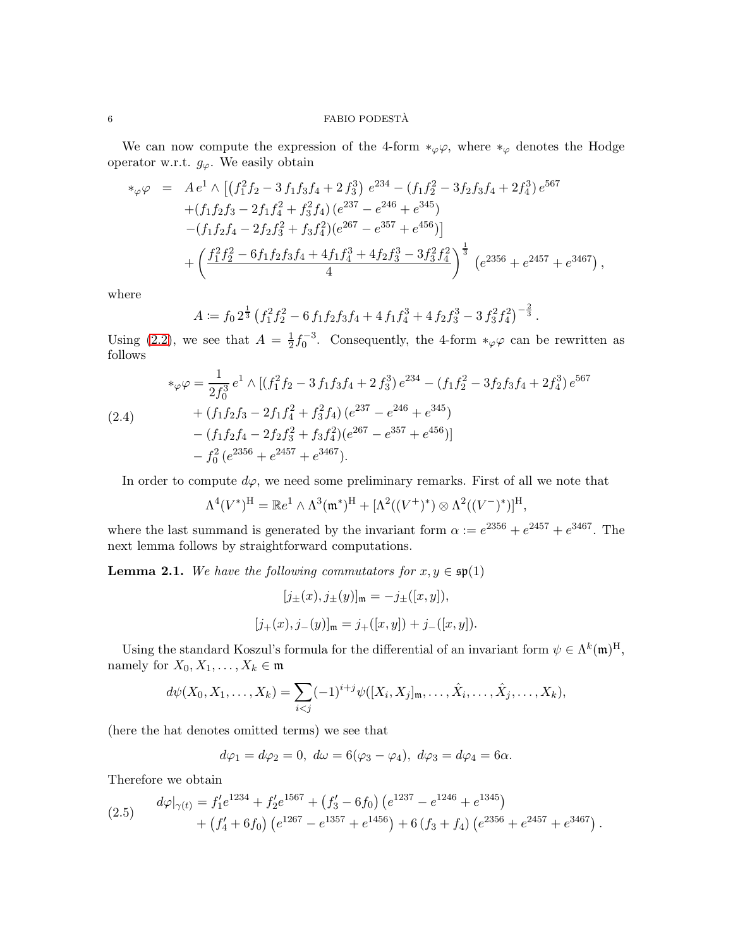### $6$   $\,$  FABIO PODESTÀ  $\,$

We can now compute the expression of the 4-form  $*_\varphi \varphi$ , where  $*_\varphi$  denotes the Hodge operator w.r.t.  $g_{\varphi}$ . We easily obtain

$$
\begin{split}\n\ast_{\varphi}\varphi &= A \, e^1 \wedge \left[ \left( f_1^2 f_2 - 3 \, f_1 f_3 f_4 + 2 \, f_3^3 \right) \, e^{234} - \left( f_1 f_2^2 - 3 f_2 f_3 f_4 + 2 f_4^3 \right) e^{567} \right. \\
&\quad \left. + \left( f_1 f_2 f_3 - 2 f_1 f_4^2 + f_3^2 f_4 \right) \left( e^{237} - e^{246} + e^{345} \right) \right. \\
&\quad \left. - \left( f_1 f_2 f_4 - 2 f_2 f_3^2 + f_3 f_4^2 \right) \left( e^{267} - e^{357} + e^{456} \right) \right] \\
&\quad \left. + \left( \frac{f_1^2 f_2^2 - 6 f_1 f_2 f_3 f_4 + 4 f_1 f_4^3 + 4 f_2 f_3^3 - 3 f_3^2 f_4^2}{4} \right)^{\frac{1}{3}} \left( e^{2356} + e^{2457} + e^{3467} \right) \right.\n\end{split}
$$

,

.

where

$$
A := f_0 2^{\frac{1}{3}} \left(f_1^2 f_2^2 - 6 f_1 f_2 f_3 f_4 + 4 f_1 f_4^3 + 4 f_2 f_3^3 - 3 f_3^2 f_4^2\right)^{-\frac{2}{3}}
$$

Using [\(2.2\)](#page-4-0), we see that  $A = \frac{1}{2}$  $\frac{1}{2} f_0^{-3}$ . Consequently, the 4-form  $*_{\varphi} \varphi$  can be rewritten as follows

$$
*_\varphi \varphi = \frac{1}{2f_0^3} e^1 \wedge \left[ (f_1^2 f_2 - 3 f_1 f_3 f_4 + 2 f_3^3) e^{234} - (f_1 f_2^2 - 3 f_2 f_3 f_4 + 2 f_4^3) e^{567} \right. \n+ (f_1 f_2 f_3 - 2 f_1 f_4^2 + f_3^2 f_4) (e^{237} - e^{246} + e^{345}) \n- (f_1 f_2 f_4 - 2 f_2 f_3^2 + f_3 f_4^2) (e^{267} - e^{357} + e^{456}) \n- f_0^2 (e^{2356} + e^{2457} + e^{3467}).
$$

In order to compute  $d\varphi$ , we need some preliminary remarks. First of all we note that

$$
\Lambda^4(V^*)^{\mathrm{H}} = \mathbb{R}e^1 \wedge \Lambda^3(\mathfrak{m}^*)^{\mathrm{H}} + [\Lambda^2((V^+)^*) \otimes \Lambda^2((V^-)^*)^{\mathrm{H}},
$$

where the last summand is generated by the invariant form  $\alpha := e^{2356} + e^{2457} + e^{3467}$ . The next lemma follows by straightforward computations.

**Lemma 2.1.** We have the following commutators for  $x, y \in \mathfrak{sp}(1)$ 

$$
[j_{\pm}(x), j_{\pm}(y)]_{\mathfrak{m}} = -j_{\pm}([x, y]),
$$
  

$$
[j_{+}(x), j_{-}(y)]_{\mathfrak{m}} = j_{+}([x, y]) + j_{-}([x, y]).
$$

Using the standard Koszul's formula for the differential of an invariant form  $\psi \in \Lambda^k(\mathfrak{m})^H$ , namely for  $X_0, X_1, \ldots, X_k \in \mathfrak{m}$ 

$$
d\psi(X_0,X_1,\ldots,X_k)=\sum_{i
$$

(here the hat denotes omitted terms) we see that

$$
d\varphi_1 = d\varphi_2 = 0, \ d\omega = 6(\varphi_3 - \varphi_4), \ d\varphi_3 = d\varphi_4 = 6\alpha.
$$

Therefore we obtain

(2.5) 
$$
d\varphi|_{\gamma(t)} = f'_1 e^{1234} + f'_2 e^{1567} + (f'_3 - 6f_0) (e^{1237} - e^{1246} + e^{1345}) + (f'_4 + 6f_0) (e^{1267} - e^{1357} + e^{1456}) + 6(f_3 + f_4) (e^{2356} + e^{2457} + e^{3467}).
$$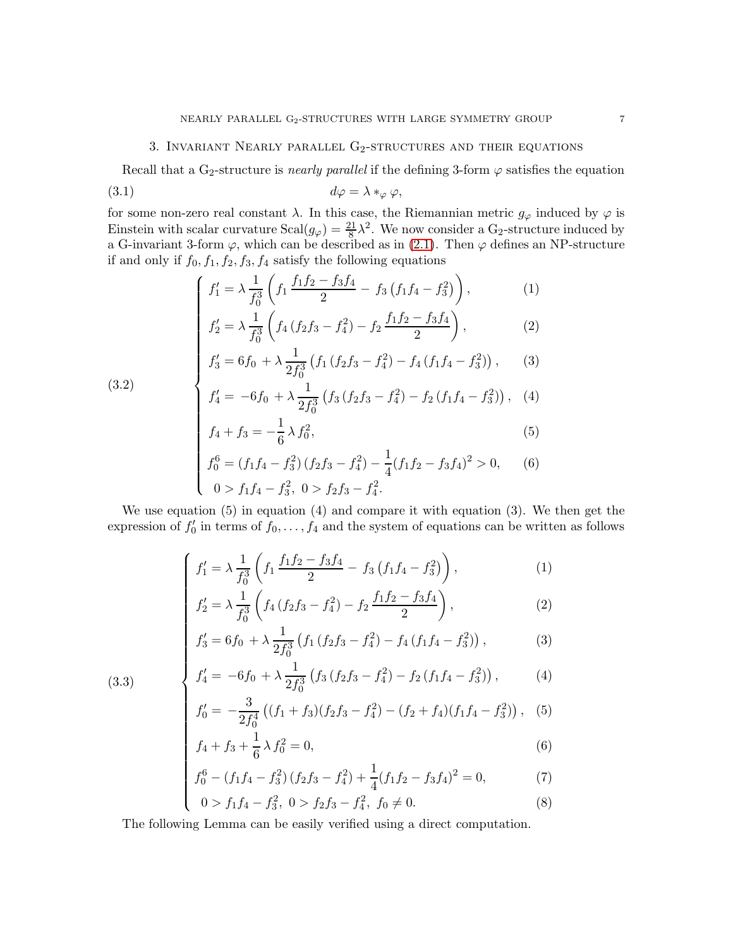## 3. INVARIANT NEARLY PARALLEL  $G_2$ -STRUCTURES AND THEIR EQUATIONS

Recall that a G<sub>2</sub>-structure is *nearly parallel* if the defining 3-form  $\varphi$  satisfies the equation

$$
(3.1) \t d\varphi = \lambda *_{\varphi} \varphi,
$$

(3.2)

for some non-zero real constant  $\lambda$ . In this case, the Riemannian metric  $g_{\varphi}$  induced by  $\varphi$  is Einstein with scalar curvature  $Scal(g_{\varphi}) = \frac{21}{8}\lambda^2$ . We now consider a G<sub>2</sub>-structure induced by a G-invariant 3-form  $\varphi$ , which can be described as in [\(2.1\)](#page-4-1). Then  $\varphi$  defines an NP-structure if and only if  $f_0, f_1, f_2, f_3, f_4$  satisfy the following equations

<span id="page-6-1"></span>
$$
\left( f_1' = \lambda \frac{1}{f_0^3} \left( f_1 \frac{f_1 f_2 - f_3 f_4}{2} - f_3 \left( f_1 f_4 - f_3^2 \right) \right), \tag{1}
$$

$$
f_2' = \lambda \frac{1}{f_0^3} \left( f_4 \left( f_2 f_3 - f_4^2 \right) - f_2 \frac{f_1 f_2 - f_3 f_4}{2} \right),\tag{2}
$$

$$
f_1' = \lambda \frac{1}{f_0^3} \left( f_1 \frac{f_1 f_2 - f_3 f_3}{2} - f_3 \left( f_1 f_4 - f_3^2 \right) \right), \qquad (1)
$$
  

$$
f_2' = \lambda \frac{1}{f_0^3} \left( f_4 \left( f_2 f_3 - f_4^2 \right) - f_2 \frac{f_1 f_2 - f_3 f_4}{2} \right), \qquad (2)
$$
  

$$
f_3' = 6 f_0 + \lambda \frac{1}{2 f_0^3} \left( f_1 \left( f_2 f_3 - f_4^2 \right) - f_4 \left( f_1 f_4 - f_3^2 \right) \right), \qquad (3)
$$

$$
f_4' = -6f_0 + \lambda \frac{1}{2f_0^3} \left( f_3 \left( f_2 f_3 - f_4^2 \right) - f_2 \left( f_1 f_4 - f_3^2 \right) \right), \quad (4)
$$
  
\n
$$
f_4 + f_3 = -\frac{1}{6} \lambda f_0^2,
$$
  
\n
$$
f_0^6 = (f_1 f_4 - f_3^2) \left( f_2 f_3 - f_4^2 \right) - \frac{1}{4} (f_1 f_2 - f_3 f_4)^2 > 0, \quad (6)
$$
  
\n
$$
0 > f_1 f_4 - f_3^2, \quad 0 > f_2 f_3 - f_4^2.
$$

$$
f_4 + f_3 = -\frac{1}{6}\lambda f_0^2,\tag{5}
$$

$$
f_0^6 = (f_1 f_4 - f_3^2) (f_2 f_3 - f_4^2) - \frac{1}{4} (f_1 f_2 - f_3 f_4)^2 > 0,
$$
 (6)  
0 > f<sub>1</sub> f<sub>4</sub> - f<sub>3</sub><sup>2</sup>, 0 > f<sub>2</sub> f<sub>3</sub> - f<sub>4</sub><sup>2</sup>.

We use equation (5) in equation (4) and compare it with equation (3). We then get the expression of  $f_0'$  $j_0'$  in terms of  $f_0, \ldots, f_4$  and the system of equations can be written as follows

$$
\left(f_1' = \lambda \frac{1}{f_0^3} \left( f_1 \frac{f_1 f_2 - f_3 f_4}{2} - f_3 \left( f_1 f_4 - f_3^2 \right) \right),\right. (1)
$$

$$
f_2' = \lambda \frac{1}{f_0^3} \left( f_4 \left( f_2 f_3 - f_4^2 \right) - f_2 \frac{f_1 f_2 - f_3 f_4}{2} \right),\tag{2}
$$

$$
f_3' = 6f_0 + \lambda \frac{1}{2f_0^3} \left( f_1 \left( f_2 f_3 - f_4^2 \right) - f_4 \left( f_1 f_4 - f_3^2 \right) \right),\tag{3}
$$

(3.3)  
\n
$$
\begin{cases}\nf_1' = \lambda \frac{1}{f_0^3} \left( f_1 \frac{f_1 f_2 - f_3 f_4}{2} - f_3 \left( f_1 f_4 - f_3^2 \right) \right), & (1) \\
f_2' = \lambda \frac{1}{f_0^3} \left( f_4 \left( f_2 f_3 - f_4^2 \right) - f_2 \frac{f_1 f_2 - f_3 f_4}{2} \right), & (2) \\
f_3' = 6 f_0 + \lambda \frac{1}{2 f_0^3} \left( f_1 \left( f_2 f_3 - f_4^2 \right) - f_4 \left( f_1 f_4 - f_3^2 \right) \right), & (3) \\
f_4' = -6 f_0 + \lambda \frac{1}{2 f_0^3} \left( f_3 \left( f_2 f_3 - f_4^2 \right) - f_2 \left( f_1 f_4 - f_3^2 \right) \right), & (4) \\
f_0' = -\frac{3}{2 f_0^4} \left( (f_1 + f_3) (f_2 f_3 - f_4^2) - (f_2 + f_4) (f_1 f_4 - f_3^2) \right), & (5) \\
f_4 + f_3 + \frac{1}{6} \lambda f_0^2 = 0, & (6) \\
f_0^6 - (f_1 f_4 - f_3^2) (f_2 f_3 - f_4^2) + \frac{1}{4} (f_1 f_2 - f_3 f_4)^2 = 0, & (7) \\
0 > f_1 f_4 - f_3^2, & 0 > f_2 f_3 - f_4^2, & f_0 \neq 0.\n\end{cases}
$$

<span id="page-6-0"></span>
$$
f_0' = -\frac{3}{2f_0^4} \left( (f_1 + f_3)(f_2f_3 - f_4^2) - (f_2 + f_4)(f_1f_4 - f_3^2) \right), \quad (5)
$$

$$
f_4 + f_3 + \frac{1}{6}\lambda f_0^2 = 0,\t\t(6)
$$

$$
f_0^6 - (f_1 f_4 - f_3^2) (f_2 f_3 - f_4^2) + \frac{1}{4} (f_1 f_2 - f_3 f_4)^2 = 0,
$$
 (7)

$$
0 > f_1 f_4 - f_3^2, \ 0 > f_2 f_3 - f_4^2, \ f_0 \neq 0. \tag{8}
$$

The following Lemma can be easily verified using a direct computation.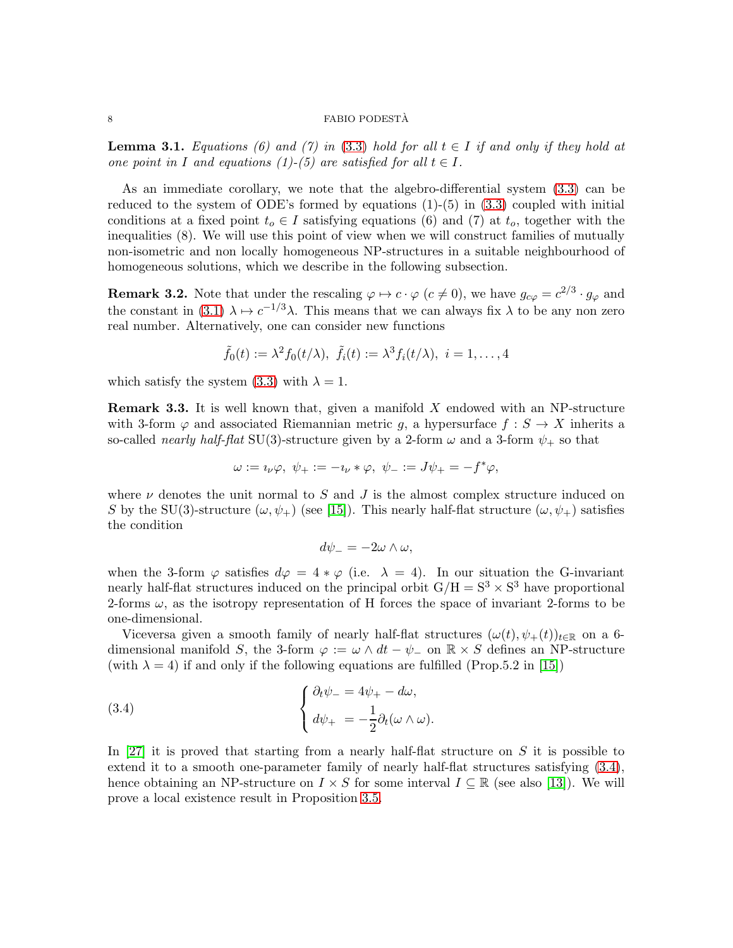<span id="page-7-1"></span>**Lemma 3.1.** Equations (6) and (7) in [\(3.3\)](#page-6-0) hold for all  $t \in I$  if and only if they hold at one point in I and equations (1)-(5) are satisfied for all  $t \in I$ .

As an immediate corollary, we note that the algebro-differential system [\(3.3\)](#page-6-0) can be reduced to the system of ODE's formed by equations  $(1)-(5)$  in  $(3.3)$  coupled with initial conditions at a fixed point  $t_o \in I$  satisfying equations (6) and (7) at  $t_o$ , together with the inequalities (8). We will use this point of view when we will construct families of mutually non-isometric and non locally homogeneous NP-structures in a suitable neighbourhood of homogeneous solutions, which we describe in the following subsection.

<span id="page-7-2"></span>**Remark 3.2.** Note that under the rescaling  $\varphi \mapsto c \cdot \varphi$  ( $c \neq 0$ ), we have  $g_{c\varphi} = c^{2/3} \cdot g_{\varphi}$  and the constant in [\(3.1\)](#page-6-1)  $\lambda \mapsto c^{-1/3}\lambda$ . This means that we can always fix  $\lambda$  to be any non zero real number. Alternatively, one can consider new functions

$$
\tilde{f}_0(t) := \lambda^2 f_0(t/\lambda), \ \tilde{f}_i(t) := \lambda^3 f_i(t/\lambda), \ i = 1, \dots, 4
$$

which satisfy the system [\(3.3\)](#page-6-0) with  $\lambda = 1$ .

**Remark 3.3.** It is well known that, given a manifold  $X$  endowed with an NP-structure with 3-form  $\varphi$  and associated Riemannian metric g, a hypersurface  $f : S \to X$  inherits a so-called nearly half-flat SU(3)-structure given by a 2-form  $\omega$  and a 3-form  $\psi_+$  so that

$$
\omega:=\imath_\nu\varphi,\ \psi_+:= -\imath_\nu\ast\varphi,\ \psi_-:=J\psi_+= -f^*\varphi,
$$

where  $\nu$  denotes the unit normal to S and J is the almost complex structure induced on S by the SU(3)-structure  $(\omega, \psi_+)$  (see [\[15\]](#page-18-6)). This nearly half-flat structure  $(\omega, \psi_+)$  satisfies the condition

<span id="page-7-0"></span>
$$
d\psi_{-}=-2\omega\wedge\omega,
$$

when the 3-form  $\varphi$  satisfies  $d\varphi = 4 * \varphi$  (i.e.  $\lambda = 4$ ). In our situation the G-invariant nearly half-flat structures induced on the principal orbit  $G/H = S^3 \times S^3$  have proportional 2-forms  $\omega$ , as the isotropy representation of H forces the space of invariant 2-forms to be one-dimensional.

Viceversa given a smooth family of nearly half-flat structures  $(\omega(t), \psi_+(t))_{t\in\mathbb{R}}$  on a 6dimensional manifold S, the 3-form  $\varphi := \omega \wedge dt - \psi$  on  $\mathbb{R} \times S$  defines an NP-structure (with  $\lambda = 4$ ) if and only if the following equations are fulfilled (Prop.5.2 in [\[15\]](#page-18-6))

(3.4) 
$$
\begin{cases} \partial_t \psi_- = 4\psi_+ - d\omega, \\ d\psi_+ = -\frac{1}{2} \partial_t (\omega \wedge \omega). \end{cases}
$$

In [\[27\]](#page-19-7) it is proved that starting from a nearly half-flat structure on S it is possible to extend it to a smooth one-parameter family of nearly half-flat structures satisfying [\(3.4\)](#page-7-0), hence obtaining an NP-structure on  $I \times S$  for some interval  $I \subseteq \mathbb{R}$  (see also [\[13\]](#page-18-12)). We will prove a local existence result in Proposition [3.5.](#page-11-0)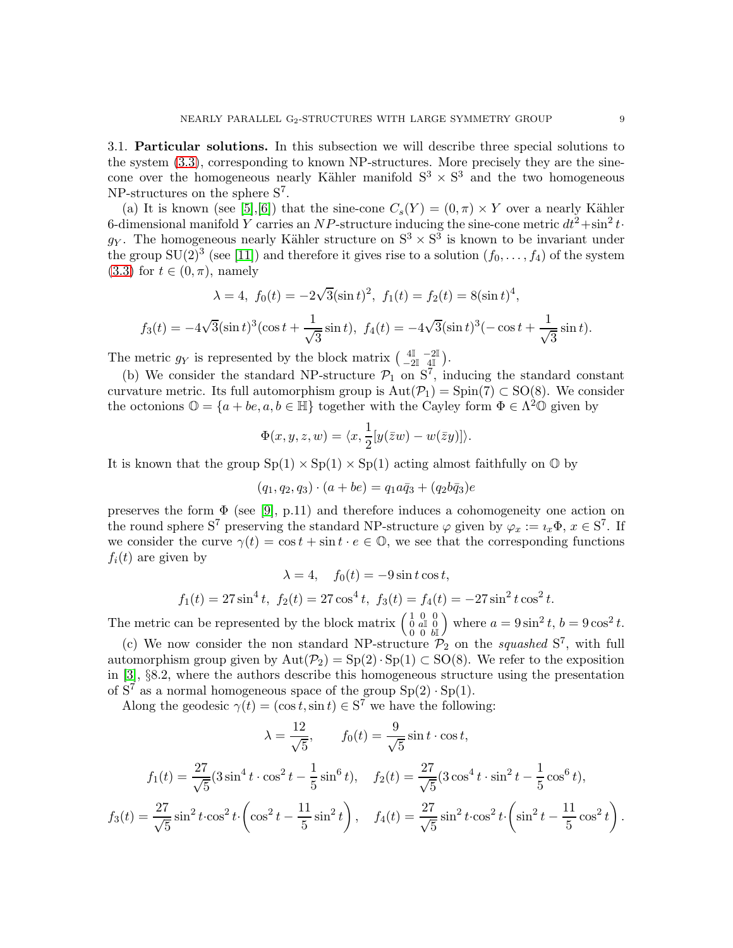<span id="page-8-0"></span>3.1. Particular solutions. In this subsection we will describe three special solutions to the system [\(3.3\)](#page-6-0), corresponding to known NP-structures. More precisely they are the sinecone over the homogeneous nearly Kähler manifold  $S^3 \times S^3$  and the two homogeneous NP-structures on the sphere  $S^7$ .

(a) It is known (see [\[5\]](#page-18-7), [\[6\]](#page-18-2)) that the sine-cone  $C_s(Y) = (0, \pi) \times Y$  over a nearly Kähler 6-dimensional manifold Y carries an NP-structure inducing the sine-cone metric  $dt^2 + \sin^2 t \cdot$  $g_Y$ . The homogeneous nearly Kähler structure on  $S^3 \times S^3$  is known to be invariant under the group  $SU(2)^3$  (see [\[11\]](#page-18-3)) and therefore it gives rise to a solution  $(f_0, \ldots, f_4)$  of the system  $(3.3)$  for  $t \in (0, \pi)$ , namely

$$
\lambda = 4
$$
,  $f_0(t) = -2\sqrt{3}(\sin t)^2$ ,  $f_1(t) = f_2(t) = 8(\sin t)^4$ ,

$$
f_3(t) = -4\sqrt{3}(\sin t)^3(\cos t + \frac{1}{\sqrt{3}}\sin t), \ f_4(t) = -4\sqrt{3}(\sin t)^3(-\cos t + \frac{1}{\sqrt{3}}\sin t).
$$

The metric  $g_Y$  is represented by the block matrix  $\begin{pmatrix} 4\mathbb{I} & -2\mathbb{I} \\ -2\mathbb{I} & 4\mathbb{I} \end{pmatrix}$ .

(b) We consider the standard NP-structure  $\mathcal{P}_1$  on  $S^7$ , inducing the standard constant curvature metric. Its full automorphism group is  $Aut(\mathcal{P}_1) = Spin(7) \subset SO(8)$ . We consider the octonions  $\mathbb{O} = \{a + be, a, b \in \mathbb{H}\}\$  together with the Cayley form  $\Phi \in \Lambda^2 \mathbb{O}$  given by

$$
\Phi(x, y, z, w) = \langle x, \frac{1}{2}[y(\overline{z}w) - w(\overline{z}y)]\rangle.
$$

It is known that the group  $Sp(1) \times Sp(1) \times Sp(1)$  acting almost faithfully on  $\mathbb{O}$  by

$$
(q_1, q_2, q_3) \cdot (a + be) = q_1 a \bar{q}_3 + (q_2 b \bar{q}_3)e
$$

preserves the form  $\Phi$  (see [\[9\]](#page-18-13), p.11) and therefore induces a cohomogeneity one action on the round sphere S<sup>7</sup> preserving the standard NP-structure  $\varphi$  given by  $\varphi_x := i_x \Phi, x \in S^7$ . If we consider the curve  $\gamma(t) = \cos t + \sin t \cdot e \in \mathbb{O}$ , we see that the corresponding functions  $f_i(t)$  are given by

$$
\lambda = 4, \quad f_0(t) = -9\sin t \cos t,
$$
  

$$
f_1(t) = 27\sin^4 t, \ f_2(t) = 27\cos^4 t, \ f_3(t) = f_4(t) = -27\sin^2 t \cos^2 t.
$$

The metric can be represented by the block matrix  $\begin{pmatrix} 1 & 0 & 0 \\ 0 & a\mathbb{I} & 0 \\ 0 & 0 & b\mathbb{I} \end{pmatrix}$ where  $a = 9\sin^2 t, b = 9\cos^2 t$ .

(c) We now consider the non standard NP-structure  $\mathcal{P}_2$  on the squashed  $S^7$ , with full automorphism group given by  $Aut(\mathcal{P}_2) = Sp(2) \cdot Sp(1) \subset SO(8)$ . We refer to the exposition in [\[3\]](#page-18-14), §8.2, where the authors describe this homogeneous structure using the presentation of  $S^7$  as a normal homogeneous space of the group  $Sp(2) \cdot Sp(1)$ .

Along the geodesic  $\gamma(t) = (\cos t, \sin t) \in \mathbf{S}^7$  we have the following:

$$
\lambda = \frac{12}{\sqrt{5}}, \qquad f_0(t) = \frac{9}{\sqrt{5}} \sin t \cdot \cos t,
$$
  

$$
f_1(t) = \frac{27}{\sqrt{5}} (3 \sin^4 t \cdot \cos^2 t - \frac{1}{5} \sin^6 t), \quad f_2(t) = \frac{27}{\sqrt{5}} (3 \cos^4 t \cdot \sin^2 t - \frac{1}{5} \cos^6 t),
$$
  

$$
f_3(t) = \frac{27}{\sqrt{5}} \sin^2 t \cdot \cos^2 t \cdot \left(\cos^2 t - \frac{11}{5} \sin^2 t\right), \quad f_4(t) = \frac{27}{\sqrt{5}} \sin^2 t \cdot \cos^2 t \cdot \left(\sin^2 t - \frac{11}{5} \cos^2 t\right).
$$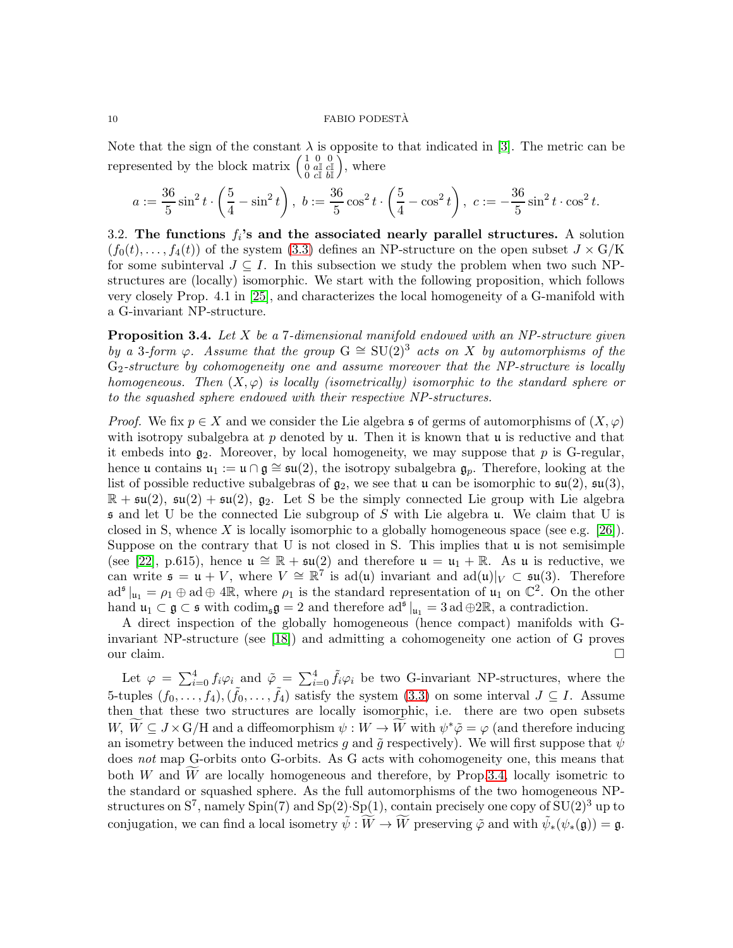Note that the sign of the constant  $\lambda$  is opposite to that indicated in [\[3\]](#page-18-14). The metric can be represented by the block matrix  $\begin{pmatrix} 1 & 0 & 0 \\ 0 & a\mathbb{I} & c\mathbb{I} \\ 0 & c\mathbb{I} & b\mathbb{I} \end{pmatrix}$  $\tilde{),}$  where

$$
a:=\frac{36}{5}\sin^2 t \cdot \left(\frac{5}{4}-\sin^2 t\right), \ b:=\frac{36}{5}\cos^2 t \cdot \left(\frac{5}{4}-\cos^2 t\right), \ c:= -\frac{36}{5}\sin^2 t \cdot \cos^2 t.
$$

3.2. The functions  $f_i$ 's and the associated nearly parallel structures. A solution  $(f_0(t), \ldots, f_4(t))$  of the system [\(3.3\)](#page-6-0) defines an NP-structure on the open subset  $J \times G/K$ for some subinterval  $J \subseteq I$ . In this subsection we study the problem when two such NPstructures are (locally) isomorphic. We start with the following proposition, which follows very closely Prop. 4.1 in [\[25\]](#page-19-3), and characterizes the local homogeneity of a G-manifold with a G-invariant NP-structure.

<span id="page-9-0"></span>**Proposition 3.4.** Let  $X$  be a 7-dimensional manifold endowed with an NP-structure given by a 3-form  $\varphi$ . Assume that the group  $G \cong SU(2)^3$  acts on X by automorphisms of the  $G_2$ -structure by cohomogeneity one and assume moreover that the NP-structure is locally homogeneous. Then  $(X, \varphi)$  is locally (isometrically) isomorphic to the standard sphere or to the squashed sphere endowed with their respective NP-structures.

*Proof.* We fix  $p \in X$  and we consider the Lie algebra s of germs of automorphisms of  $(X, \varphi)$ with isotropy subalgebra at  $p$  denoted by  $\mu$ . Then it is known that  $\mu$  is reductive and that it embeds into  $g_2$ . Moreover, by local homogeneity, we may suppose that p is G-regular, hence u contains  $u_1 := u \cap g \cong \mathfrak{su}(2)$ , the isotropy subalgebra  $g_p$ . Therefore, looking at the list of possible reductive subalgebras of  $g_2$ , we see that u can be isomorphic to  $\mathfrak{su}(2)$ ,  $\mathfrak{su}(3)$ ,  $\mathbb{R} + \mathfrak{su}(2), \mathfrak{su}(2) + \mathfrak{su}(2), \mathfrak{g}_2$ . Let S be the simply connected Lie group with Lie algebra  $\mathfrak s$  and let U be the connected Lie subgroup of S with Lie algebra u. We claim that U is closed in S, whence X is locally isomorphic to a globally homogeneous space (see e.g. [\[26\]](#page-19-8)). Suppose on the contrary that U is not closed in S. This implies that  $\mu$  is not semisimple (see [\[22\]](#page-19-9), p.615), hence  $\mathfrak{u} \cong \mathbb{R} + \mathfrak{su}(2)$  and therefore  $\mathfrak{u} = \mathfrak{u}_1 + \mathbb{R}$ . As  $\mathfrak{u}$  is reductive, we can write  $\mathfrak{s} = \mathfrak{u} + V$ , where  $V \cong \mathbb{R}^7$  is ad(u) invariant and ad(u)| $V \subset \mathfrak{su}(3)$ . Therefore  $ad^{\mathfrak{s}}|_{\mathfrak{u}_1} = \rho_1 \oplus ad \oplus 4\mathbb{R}$ , where  $\rho_1$  is the standard representation of  $\mathfrak{u}_1$  on  $\mathbb{C}^2$ . On the other hand  $\mathfrak{u}_1 \subset \mathfrak{g} \subset \mathfrak{s}$  with  $\text{codim}_{\mathfrak{s}} \mathfrak{g} = 2$  and therefore  $\text{ad}^{\mathfrak{s}}|_{\mathfrak{u}_1} = 3 \text{ ad } \oplus 2\mathbb{R}$ , a contradiction.

A direct inspection of the globally homogeneous (hence compact) manifolds with Ginvariant NP-structure (see [\[18\]](#page-19-1)) and admitting a cohomogeneity one action of G proves our claim.  $\Box$ 

Let  $\varphi = \sum_{i=0}^4 f_i \varphi_i$  and  $\tilde{\varphi} = \sum_{i=0}^4 \tilde{f}_i \varphi_i$  be two G-invariant NP-structures, where the 5-tuples  $(f_0, \ldots, f_4), (\tilde{f}_0, \ldots, \tilde{f}_4)$  satisfy the system  $(3.3)$  on some interval  $J \subseteq I$ . Assume then that these two structures are locally isomorphic, i.e. there are two open subsets  $W, \widetilde{W} \subseteq J \times G/H$  and a diffeomorphism  $\psi: W \to \widetilde{W}$  with  $\psi^* \tilde{\varphi} = \varphi$  (and therefore inducing an isometry between the induced metrics g and  $\tilde{g}$  respectively). We will first suppose that  $\psi$ does not map G-orbits onto G-orbits. As G acts with cohomogeneity one, this means that both W and  $\overline{W}$  are locally homogeneous and therefore, by Prop[.3.4,](#page-9-0) locally isometric to the standard or squashed sphere. As the full automorphisms of the two homogeneous NPstructures on  $S^7$ , namely  $Spin(7)$  and  $Sp(2)$ .  $Sp(1)$ , contain precisely one copy of  $SU(2)^3$  up to conjugation, we can find a local isometry  $\tilde{\psi}: \widetilde{W} \to \widetilde{W}$  preserving  $\tilde{\varphi}$  and with  $\tilde{\psi}_*(\psi_*(\mathfrak{g})) = \mathfrak{g}$ .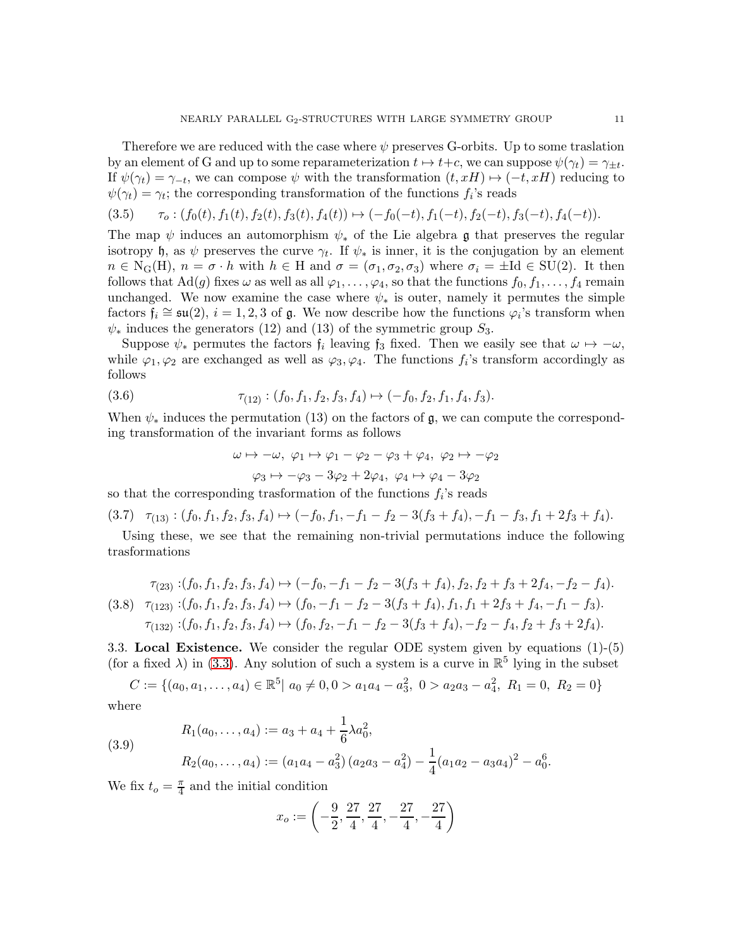Therefore we are reduced with the case where  $\psi$  preserves G-orbits. Up to some traslation by an element of G and up to some reparameterization  $t \mapsto t+c$ , we can suppose  $\psi(\gamma_t) = \gamma_{\pm t}$ . If  $\psi(\gamma_t) = \gamma_{-t}$ , we can compose  $\psi$  with the transformation  $(t, xH) \mapsto (-t, xH)$  reducing to  $\psi(\gamma_t) = \gamma_t$ ; the corresponding transformation of the functions  $f_i$ 's reads

$$
(3.5) \qquad \tau_o: (f_0(t), f_1(t), f_2(t), f_3(t), f_4(t)) \mapsto (-f_0(-t), f_1(-t), f_2(-t), f_3(-t), f_4(-t)).
$$

The map  $\psi$  induces an automorphism  $\psi_*$  of the Lie algebra g that preserves the regular isotropy h, as  $\psi$  preserves the curve  $\gamma_t$ . If  $\psi_*$  is inner, it is the conjugation by an element  $n \in N_G(H)$ ,  $n = \sigma \cdot h$  with  $h \in H$  and  $\sigma = (\sigma_1, \sigma_2, \sigma_3)$  where  $\sigma_i = \pm Id \in SU(2)$ . It then follows that Ad(g) fixes  $\omega$  as well as all  $\varphi_1, \ldots, \varphi_4$ , so that the functions  $f_0, f_1, \ldots, f_4$  remain unchanged. We now examine the case where  $\psi_*$  is outer, namely it permutes the simple factors  $f_i \cong \mathfrak{su}(2)$ ,  $i = 1, 2, 3$  of  $\mathfrak{g}$ . We now describe how the functions  $\varphi_i$ 's transform when  $\psi_*$  induces the generators (12) and (13) of the symmetric group  $S_3$ .

Suppose  $\psi_*$  permutes the factors  $f_i$  leaving  $f_3$  fixed. Then we easily see that  $\omega \mapsto -\omega$ , while  $\varphi_1, \varphi_2$  are exchanged as well as  $\varphi_3, \varphi_4$ . The functions  $f_i$ 's transform accordingly as follows

(3.6) 
$$
\tau_{(12)} : (f_0, f_1, f_2, f_3, f_4) \mapsto (-f_0, f_2, f_1, f_4, f_3).
$$

When  $\psi_*$  induces the permutation (13) on the factors of g, we can compute the corresponding transformation of the invariant forms as follows

$$
\omega \mapsto -\omega, \ \varphi_1 \mapsto \varphi_1 - \varphi_2 - \varphi_3 + \varphi_4, \ \varphi_2 \mapsto -\varphi_2
$$

$$
\varphi_3 \mapsto -\varphi_3 - 3\varphi_2 + 2\varphi_4, \ \varphi_4 \mapsto \varphi_4 - 3\varphi_2
$$

so that the corresponding trasformation of the functions  $f_i$ 's reads

$$
(3.7) \quad \tau_{(13)} : (f_0, f_1, f_2, f_3, f_4) \mapsto (-f_0, f_1, -f_1 - f_2 - 3(f_3 + f_4), -f_1 - f_3, f_1 + 2f_3 + f_4).
$$

Using these, we see that the remaining non-trivial permutations induce the following trasformations

$$
\tau_{(23)}: (f_0, f_1, f_2, f_3, f_4) \mapsto (-f_0, -f_1 - f_2 - 3(f_3 + f_4), f_2, f_2 + f_3 + 2f_4, -f_2 - f_4).
$$
  
(3.8) 
$$
\tau_{(123)}: (f_0, f_1, f_2, f_3, f_4) \mapsto (f_0, -f_1 - f_2 - 3(f_3 + f_4), f_1, f_1 + 2f_3 + f_4, -f_1 - f_3).
$$

$$
\tau_{(132)}: (f_0, f_1, f_2, f_3, f_4) \mapsto (f_0, f_2, -f_1 - f_2 - 3(f_3 + f_4), -f_2 - f_4, f_2 + f_3 + 2f_4).
$$

3.3. Local Existence. We consider the regular ODE system given by equations (1)-(5) (for a fixed  $\lambda$ ) in [\(3.3\)](#page-6-0). Any solution of such a system is a curve in  $\mathbb{R}^5$  lying in the subset

$$
C := \{ (a_0, a_1, \dots, a_4) \in \mathbb{R}^5 | a_0 \neq 0, 0 > a_1 a_4 - a_3^2, 0 > a_2 a_3 - a_4^2, R_1 = 0, R_2 = 0 \}
$$

where

(3.9)  
\n
$$
R_1(a_0, \ldots, a_4) := a_3 + a_4 + \frac{1}{6}\lambda a_0^2,
$$
\n
$$
R_2(a_0, \ldots, a_4) := (a_1a_4 - a_3^2)(a_2a_3 - a_4^2) - \frac{1}{4}(a_1a_2 - a_3a_4)^2 - a_0^6.
$$

We fix  $t_o = \frac{\pi}{4}$  $\frac{\pi}{4}$  and the initial condition

$$
x_o:=\left(-\frac{9}{2},\frac{27}{4},\frac{27}{4},-\frac{27}{4},-\frac{27}{4}\right)
$$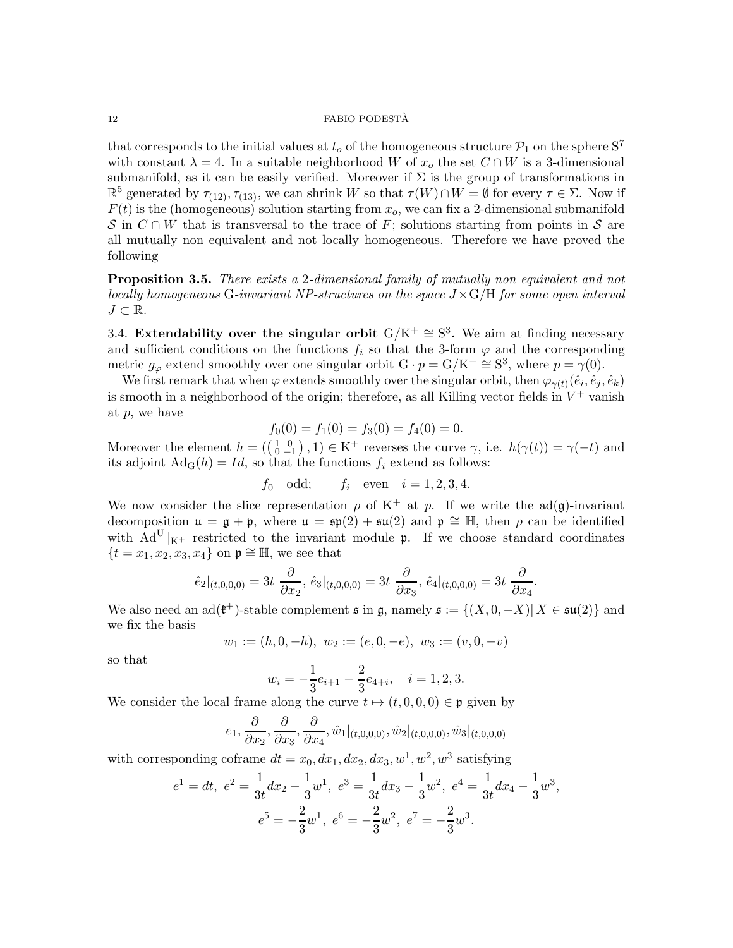that corresponds to the initial values at  $t_o$  of the homogeneous structure  $\mathcal{P}_1$  on the sphere  $S^7$ with constant  $\lambda = 4$ . In a suitable neighborhood W of  $x_o$  the set  $C \cap W$  is a 3-dimensional submanifold, as it can be easily verified. Moreover if  $\Sigma$  is the group of transformations in  $\mathbb{R}^5$  generated by  $\tau_{(12)}, \tau_{(13)}$ , we can shrink W so that  $\tau(W) \cap W = \emptyset$  for every  $\tau \in \Sigma$ . Now if  $F(t)$  is the (homogeneous) solution starting from  $x<sub>o</sub>$ , we can fix a 2-dimensional submanifold S in  $C \cap W$  that is transversal to the trace of F; solutions starting from points in S are all mutually non equivalent and not locally homogeneous. Therefore we have proved the following

<span id="page-11-0"></span>**Proposition 3.5.** There exists a 2-dimensional family of mutually non-equivalent and not locally homogeneous G-invariant NP-structures on the space  $J \times G/H$  for some open interval  $J \subset \mathbb{R}$ .

3.4. Extendability over the singular orbit  $G/K^+ \cong S^3$ . We aim at finding necessary and sufficient conditions on the functions  $f_i$  so that the 3-form  $\varphi$  and the corresponding metric  $g_{\varphi}$  extend smoothly over one singular orbit  $G \cdot p = G/K^+ \cong S^3$ , where  $p = \gamma(0)$ .

We first remark that when  $\varphi$  extends smoothly over the singular orbit, then  $\varphi_{\gamma(t)}(\hat{e}_i, \hat{e}_j, \hat{e}_k)$ is smooth in a neighborhood of the origin; therefore, as all Killing vector fields in  $V^+$  vanish at p, we have

$$
f_0(0) = f_1(0) = f_3(0) = f_4(0) = 0.
$$

Moreover the element  $h = (\begin{pmatrix} 1 & 0 \\ 0 & -1 \end{pmatrix}, 1) \in K^+$  reverses the curve  $\gamma$ , i.e.  $h(\gamma(t)) = \gamma(-t)$  and its adjoint  $\text{Ad}_G(h) = Id$ , so that the functions  $f_i$  extend as follows:

$$
f_0
$$
 odd;  $f_i$  even  $i = 1, 2, 3, 4.$ 

We now consider the slice representation  $\rho$  of K<sup>+</sup> at p. If we write the ad(g)-invariant decomposition  $\mathfrak{u} = \mathfrak{g} + \mathfrak{p}$ , where  $\mathfrak{u} = \mathfrak{sp}(2) + \mathfrak{su}(2)$  and  $\mathfrak{p} \cong \mathbb{H}$ , then  $\rho$  can be identified with  $Ad^U|_{K^+}$  restricted to the invariant module p. If we choose standard coordinates  ${t = x_1, x_2, x_3, x_4}$  on  $\mathfrak{p} \cong \mathbb{H}$ , we see that

$$
\hat{e}_2|_{(t,0,0,0)} = 3t \frac{\partial}{\partial x_2}, \ \hat{e}_3|_{(t,0,0,0)} = 3t \frac{\partial}{\partial x_3}, \ \hat{e}_4|_{(t,0,0,0)} = 3t \frac{\partial}{\partial x_4}.
$$

We also need an  $ad(\mathfrak{k}^+)$ -stable complement  $\mathfrak{s}$  in  $\mathfrak{g}$ , namely  $\mathfrak{s} := \{(X, 0, -X) | X \in \mathfrak{su}(2)\}$  and we fix the basis

$$
w_1 := (h, 0, -h), w_2 := (e, 0, -e), w_3 := (v, 0, -v)
$$

so that

$$
w_i = -\frac{1}{3}e_{i+1} - \frac{2}{3}e_{4+i}, \quad i = 1, 2, 3.
$$

We consider the local frame along the curve  $t \mapsto (t, 0, 0, 0) \in \mathfrak{p}$  given by

$$
e_1, \frac{\partial}{\partial x_2}, \frac{\partial}{\partial x_3}, \frac{\partial}{\partial x_4}, \hat{w}_1|_{(t,0,0,0)}, \hat{w}_2|_{(t,0,0,0)}, \hat{w}_3|_{(t,0,0,0)}
$$

with corresponding coframe  $dt = x_0, dx_1, dx_2, dx_3, w^1, w^2, w^3$  satisfying

$$
e1 = dt, e2 = \frac{1}{3t} dx2 - \frac{1}{3} w1, e3 = \frac{1}{3t} dx3 - \frac{1}{3} w2, e4 = \frac{1}{3t} dx4 - \frac{1}{3} w3,\ne5 = -\frac{2}{3} w1, e6 = -\frac{2}{3} w2, e7 = -\frac{2}{3} w3.
$$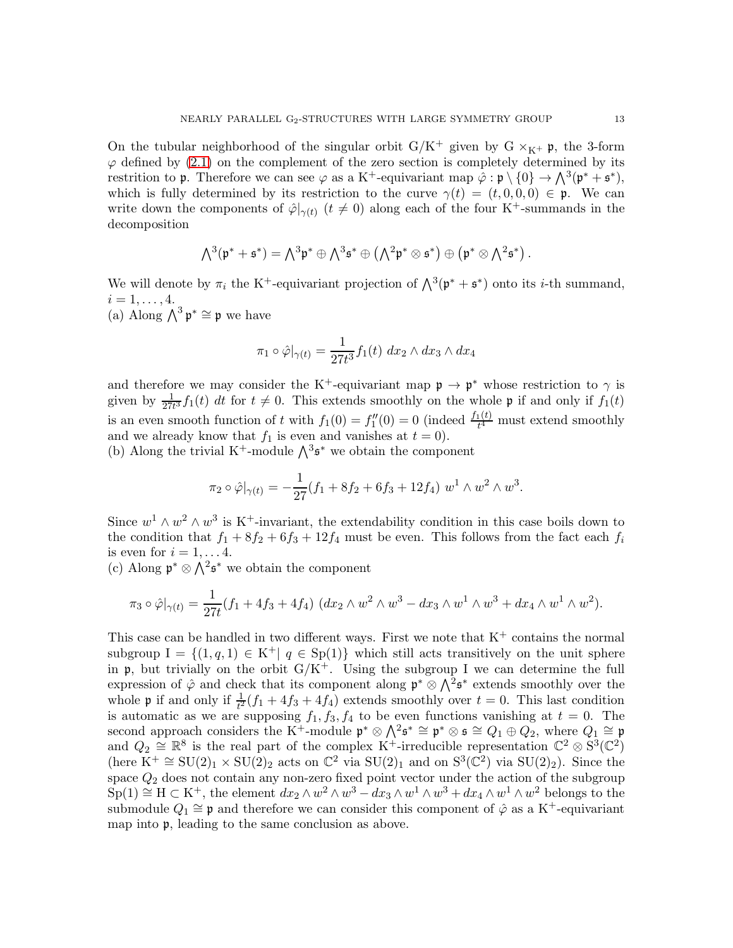On the tubular neighborhood of the singular orbit  $G/K^+$  given by  $G \times_{K^+} \mathfrak{p}$ , the 3-form  $\varphi$  defined by [\(2.1\)](#page-4-1) on the complement of the zero section is completely determined by its restrition to p. Therefore we can see  $\varphi$  as a K<sup>+</sup>-equivariant map  $\hat{\varphi} : \mathfrak{p} \setminus \{0\} \to \bigwedge^3(\mathfrak{p}^* + \mathfrak{s}^*),$ which is fully determined by its restriction to the curve  $\gamma(t) = (t, 0, 0, 0) \in \mathfrak{p}$ . We can write down the components of  $\hat{\varphi}|_{\gamma(t)}$   $(t \neq 0)$  along each of the four K<sup>+</sup>-summands in the decomposition

$$
\textstyle \bigwedge^3(\mathfrak{p}^*+\mathfrak{s}^*)=\bigwedge^3\mathfrak{p}^*\oplus\bigwedge^3\mathfrak{s}^*\oplus\bigl(\bigwedge^2\mathfrak{p}^*\otimes\mathfrak{s}^*\bigr)\oplus\bigl(\mathfrak{p}^*\otimes\bigwedge^2\mathfrak{s}^*\bigr)\,.
$$

We will denote by  $\pi_i$  the K<sup>+</sup>-equivariant projection of  $\bigwedge^3(\mathfrak{p}^* + \mathfrak{s}^*)$  onto its *i*-th summand,  $i = 1, \ldots, 4.$ (a) Along  $\bigwedge^3 \mathfrak{p}^* \cong \mathfrak{p}$  we have

$$
\pi_1 \circ \hat{\varphi}|_{\gamma(t)} = \frac{1}{27t^3} f_1(t) \, dx_2 \wedge dx_3 \wedge dx_4
$$

and therefore we may consider the K<sup>+</sup>-equivariant map  $\mathfrak{p} \to \mathfrak{p}^*$  whose restriction to  $\gamma$  is given by  $\frac{1}{27t^3}f_1(t)$  dt for  $t \neq 0$ . This extends smoothly on the whole p if and only if  $f_1(t)$  $27t$ is an even smooth function of t with  $f_1(0) = f_1''$  $\mathcal{L}_1''(0) = 0$  (indeed  $\frac{f_1(t)}{t^4}$  must extend smoothly and we already know that  $f_1$  is even and vanishes at  $t = 0$ ).

(b) Along the trivial K<sup>+</sup>-module  $\bigwedge^3$ **s**<sup>\*</sup> we obtain the component

$$
\pi_2 \circ \hat{\varphi}|_{\gamma(t)} = -\frac{1}{27}(f_1 + 8f_2 + 6f_3 + 12f_4) w^1 \wedge w^2 \wedge w^3.
$$

Since  $w^1 \wedge w^2 \wedge w^3$  is K<sup>+</sup>-invariant, the extendability condition in this case boils down to the condition that  $f_1 + 8f_2 + 6f_3 + 12f_4$  must be even. This follows from the fact each  $f_i$ is even for  $i = 1, \ldots 4$ .

(c) Along  $\mathfrak{p}^* \otimes \bigwedge^2 \mathfrak{s}^*$  we obtain the component

$$
\pi_3 \circ \hat{\varphi}|_{\gamma(t)} = \frac{1}{27t} (f_1 + 4f_3 + 4f_4) \left( dx_2 \wedge w^2 \wedge w^3 - dx_3 \wedge w^1 \wedge w^3 + dx_4 \wedge w^1 \wedge w^2 \right).
$$

This case can be handled in two different ways. First we note that  $K^+$  contains the normal subgroup  $I = \{(1, q, 1) \in K^+ | q \in Sp(1)\}\$  which still acts transitively on the unit sphere in  $\mathfrak{p}$ , but trivially on the orbit  $G/K^+$ . Using the subgroup I we can determine the full expression of  $\hat{\varphi}$  and check that its component along  $\mathfrak{p}^* \otimes \Lambda^2 \mathfrak{s}^*$  extends smoothly over the whole **p** if and only if  $\frac{1}{t^2}(f_1 + 4f_3 + 4f_4)$  extends smoothly over  $t = 0$ . This last condition is automatic as we are supposing  $f_1, f_3, f_4$  to be even functions vanishing at  $t = 0$ . The second approach considers the K<sup>+</sup>-module  $\mathfrak{p}^* \otimes \bigwedge^2 \mathfrak{s}^* \cong \mathfrak{p}^* \otimes \mathfrak{s} \cong Q_1 \oplus Q_2$ , where  $Q_1 \cong \mathfrak{p}$ and  $Q_2 \cong \mathbb{R}^8$  is the real part of the complex K<sup>+</sup>-irreducible representation  $\mathbb{C}^2 \otimes S^3(\mathbb{C}^2)$ (here  $K^+ \cong SU(2)_1 \times SU(2)_2$  acts on  $\mathbb{C}^2$  via  $SU(2)_1$  and on  $S^3(\mathbb{C}^2)$  via  $SU(2)_2$ ). Since the space  $Q_2$  does not contain any non-zero fixed point vector under the action of the subgroup  $Sp(1) \cong H \subset K^+$ , the element  $dx_2 \wedge w^2 \wedge w^3 - dx_3 \wedge w^1 \wedge w^3 + dx_4 \wedge w^1 \wedge w^2$  belongs to the submodule  $Q_1 \cong \mathfrak{p}$  and therefore we can consider this component of  $\hat{\varphi}$  as a K<sup>+</sup>-equivariant map into p, leading to the same conclusion as above.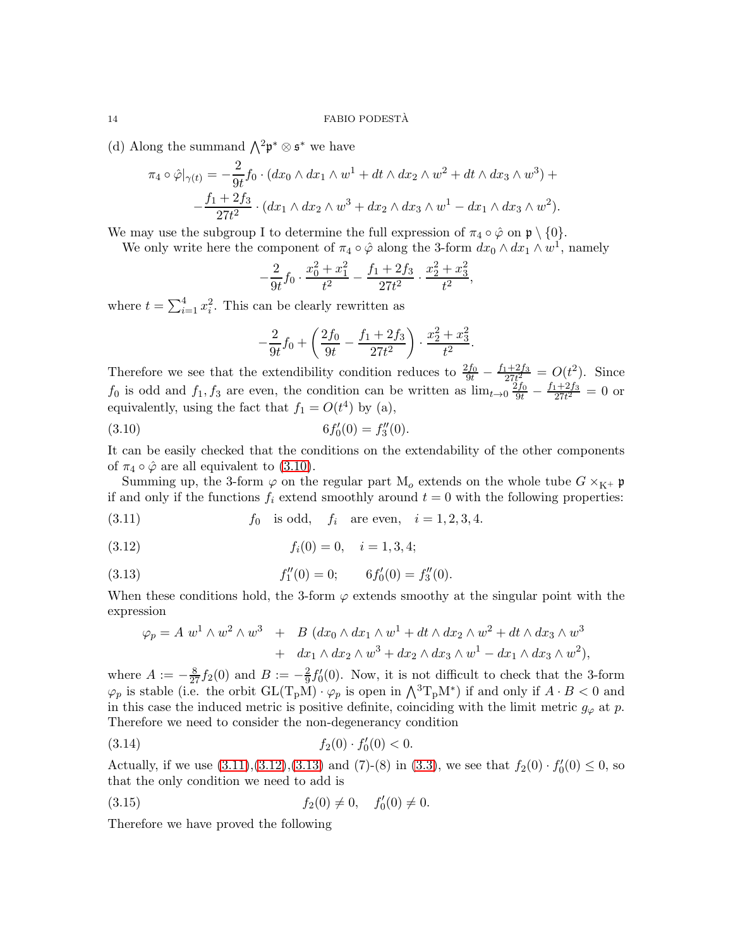(d) Along the summand  $\bigwedge^2 \mathfrak{p}^* \otimes \mathfrak{s}^*$  we have

$$
\pi_4 \circ \hat{\varphi}|_{\gamma(t)} = -\frac{2}{9t} f_0 \cdot (dx_0 \wedge dx_1 \wedge w^1 + dt \wedge dx_2 \wedge w^2 + dt \wedge dx_3 \wedge w^3) + -\frac{f_1 + 2f_3}{27t^2} \cdot (dx_1 \wedge dx_2 \wedge w^3 + dx_2 \wedge dx_3 \wedge w^1 - dx_1 \wedge dx_3 \wedge w^2).
$$

We may use the subgroup I to determine the full expression of  $\pi_4 \circ \hat{\varphi}$  on  $\mathfrak{p} \setminus \{0\}$ .

We only write here the component of  $\pi_4 \circ \hat{\varphi}$  along the 3-form  $dx_0 \wedge dx_1 \wedge w^1$ , namely

$$
-\frac{2}{9t}f_0 \cdot \frac{x_0^2 + x_1^2}{t^2} - \frac{f_1 + 2f_3}{27t^2} \cdot \frac{x_2^2 + x_3^2}{t^2},
$$

where  $t = \sum_{i=1}^{4} x_i^2$ . This can be clearly rewritten as

<span id="page-13-0"></span>
$$
-\frac{2}{9t}f_0 + \left(\frac{2f_0}{9t} - \frac{f_1 + 2f_3}{27t^2}\right) \cdot \frac{x_2^2 + x_3^2}{t^2}.
$$

Therefore we see that the extendibility condition reduces to  $\frac{2f_0}{9t} - \frac{f_1+2f_3}{27t^2}$  $\frac{e^{t+2f_3}}{27t^2} = O(t^2)$ . Since  $f_0$  is odd and  $f_1, f_3$  are even, the condition can be written as  $\lim_{t\to 0} \frac{2f_0}{9t} - \frac{f_1+2f_3}{27t^2}$  $\frac{1+2J_3}{27t^2} = 0$  or equivalently, using the fact that  $f_1 = O(t^4)$  by (a),

(3.10) 
$$
6f_0'(0) = f_3''(0).
$$

It can be easily checked that the conditions on the extendability of the other components of  $\pi_4 \circ \hat{\varphi}$  are all equivalent to [\(3.10\)](#page-13-0).

Summing up, the 3-form  $\varphi$  on the regular part  $M_o$  extends on the whole tube  $G \times_{K^+} \mathfrak{p}$ if and only if the functions  $f_i$  extend smoothly around  $t = 0$  with the following properties:

<span id="page-13-1"></span>(3.11) 
$$
f_0
$$
 is odd,  $f_i$  are even,  $i = 1, 2, 3, 4$ .

$$
(3.12) \t\t f_i(0) = 0, \t i = 1, 3, 4;
$$

(3.13) 
$$
f_1''(0) = 0; \qquad 6f_0'(0) = f_3''(0).
$$

When these conditions hold, the 3-form  $\varphi$  extends smoothy at the singular point with the expression

<span id="page-13-3"></span><span id="page-13-2"></span>
$$
\varphi_p = A \, w^1 \wedge w^2 \wedge w^3 + B \, (dx_0 \wedge dx_1 \wedge w^1 + dt \wedge dx_2 \wedge w^2 + dt \wedge dx_3 \wedge w^3 + dx_1 \wedge dx_2 \wedge w^3 + dx_2 \wedge dx_3 \wedge w^1 - dx_1 \wedge dx_3 \wedge w^2),
$$

where  $A := -\frac{8}{27} f_2(0)$  and  $B := -\frac{2}{9}$  $\frac{2}{9}f'_{0}$  $C_0(0)$ . Now, it is not difficult to check that the 3-form  $\varphi_p$  is stable (i.e. the orbit  $GL(T_pM) \cdot \varphi_p$  is open in  $\bigwedge^3 T_pM^*$ ) if and only if  $A \cdot B < 0$  and in this case the induced metric is positive definite, coinciding with the limit metric  $g_{\varphi}$  at p. Therefore we need to consider the non-degenerancy condition

(3.14) 
$$
f_2(0) \cdot f'_0(0) < 0.
$$

Actually, if we use  $(3.11),(3.12),(3.13)$  $(3.11),(3.12),(3.13)$  $(3.11),(3.12),(3.13)$  $(3.11),(3.12),(3.13)$  and  $(7)-(8)$  in  $(3.3)$ , we see that  $f_2(0) \cdot f_0'(0)$  $C'_0(0) \leq 0$ , so that the only condition we need to add is

<span id="page-13-4"></span>(3.15) 
$$
f_2(0) \neq 0, \quad f'_0(0) \neq 0.
$$

Therefore we have proved the following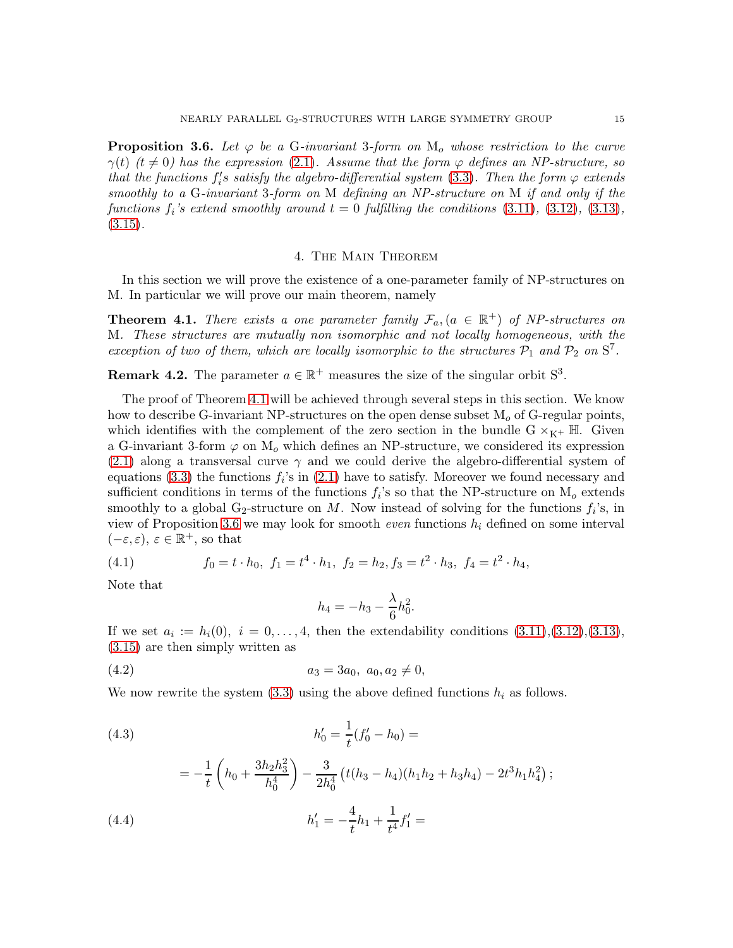<span id="page-14-1"></span>**Proposition 3.6.** Let  $\varphi$  be a G-invariant 3-form on  $M_0$  whose restriction to the curve  $\gamma(t)$  (t  $\neq$  0) has the expression [\(2.1\)](#page-4-1). Assume that the form  $\varphi$  defines an NP-structure, so that the functions  $f_i'$  $i_i's$  satisfy the algebro-differential system  $(3.3)$ . Then the form  $\varphi$  extends smoothly to a G-invariant 3-form on M defining an NP-structure on M if and only if the functions  $f_i$ 's extend smoothly around  $t = 0$  fulfilling the conditions  $(3.11)$ ,  $(3.12)$ ,  $(3.13)$ ,  $(3.15).$  $(3.15).$ 

### 4. The Main Theorem

In this section we will prove the existence of a one-parameter family of NP-structures on M. In particular we will prove our main theorem, namely

<span id="page-14-0"></span>**Theorem 4.1.** There exists a one parameter family  $\mathcal{F}_a$ ,  $(a \in \mathbb{R}^+)$  of NP-structures on M. These structures are mutually non isomorphic and not locally homogeneous, with the exception of two of them, which are locally isomorphic to the structures  $P_1$  and  $P_2$  on  $S^7$ .

**Remark 4.2.** The parameter  $a \in \mathbb{R}^+$  measures the size of the singular orbit  $S^3$ .

The proof of Theorem [4.1](#page-14-0) will be achieved through several steps in this section. We know how to describe G-invariant NP-structures on the open dense subset  $M<sub>o</sub>$  of G-regular points, which identifies with the complement of the zero section in the bundle  $G \times_{K^+} \mathbb{H}$ . Given a G-invariant 3-form  $\varphi$  on  $M_o$  which defines an NP-structure, we considered its expression [\(2.1\)](#page-4-1) along a transversal curve  $\gamma$  and we could derive the algebro-differential system of equations [\(3.3\)](#page-6-0) the functions  $f_i$ 's in [\(2.1\)](#page-4-1) have to satisfy. Moreover we found necessary and sufficient conditions in terms of the functions  $f_i$ 's so that the NP-structure on  $M_o$  extends smoothly to a global  $G_2$ -structure on M. Now instead of solving for the functions  $f_i$ 's, in view of Proposition [3.6](#page-14-1) we may look for smooth *even* functions  $h_i$  defined on some interval  $(-\varepsilon, \varepsilon), \, \varepsilon \in \mathbb{R}^+,$  so that

<span id="page-14-2"></span>(4.1) 
$$
f_0 = t \cdot h_0, \ f_1 = t^4 \cdot h_1, \ f_2 = h_2, f_3 = t^2 \cdot h_3, \ f_4 = t^2 \cdot h_4,
$$

Note that

<span id="page-14-3"></span>
$$
h_4=-h_3-\frac{\lambda}{6}h_0^2.
$$

If we set  $a_i := h_i(0), i = 0, ..., 4$ , then the extendability conditions  $(3.11), (3.12), (3.13),$  $(3.11), (3.12), (3.13),$  $(3.11), (3.12), (3.13),$  $(3.11), (3.12), (3.13),$  $(3.11), (3.12), (3.13),$ [\(3.15\)](#page-13-4) are then simply written as

$$
(4.2) \t\t\t a_3 = 3a_0, \ a_0, a_2 \neq 0,
$$

We now rewrite the system  $(3.3)$  using the above defined functions  $h_i$  as follows.

(4.3) 
$$
h'_0 = \frac{1}{t}(f'_0 - h_0) =
$$

$$
=-\frac{1}{t}\left(h_0+\frac{3h_2h_3^2}{h_0^4}\right)-\frac{3}{2h_0^4}\left(t(h_3-h_4)(h_1h_2+h_3h_4)-2t^3h_1h_4^2\right);
$$

(4.4) 
$$
h'_1 = -\frac{4}{t}h_1 + \frac{1}{t^4}f'_1 =
$$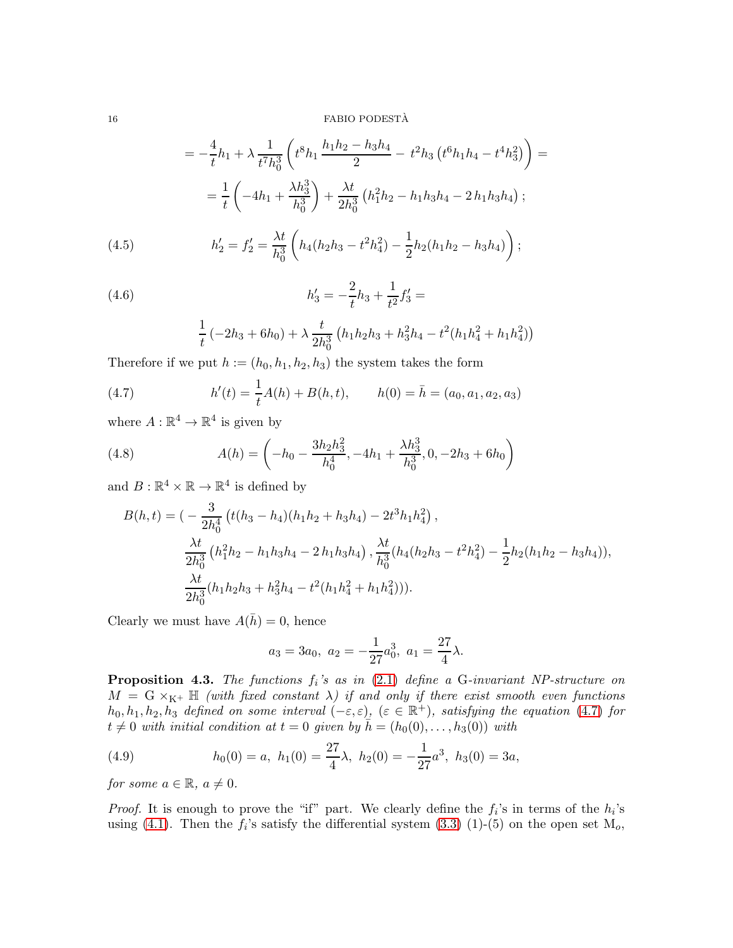$16$   $\,$  FABIO PODESTÀ  $\,$ 

$$
= -\frac{4}{t}h_1 + \lambda \frac{1}{t^7h_0^3} \left( t^8h_1 \frac{h_1h_2 - h_3h_4}{2} - t^2h_3 \left( t^6h_1h_4 - t^4h_3^2 \right) \right) =
$$
  

$$
= \frac{1}{t} \left( -4h_1 + \frac{\lambda h_3^3}{h_0^3} \right) + \frac{\lambda t}{2h_0^3} \left( h_1^2h_2 - h_1h_3h_4 - 2h_1h_3h_4 \right);
$$
  
(4.5) 
$$
h_2' = f_2' = \frac{\lambda t}{h_0^3} \left( h_4(h_2h_3 - t^2h_4^2) - \frac{1}{2}h_2(h_1h_2 - h_3h_4) \right);
$$

(4.6) 
$$
h'_3 = -\frac{2}{t}h_3 + \frac{1}{t^2}f'_3 =
$$

<span id="page-15-0"></span>
$$
\frac{1}{t}(-2h_3+6h_0)+\lambda\frac{t}{2h_0^3}\left(h_1h_2h_3+h_3^2h_4-t^2(h_1h_4^2+h_1h_4^2)\right)
$$

Therefore if we put  $h := (h_0, h_1, h_2, h_3)$  the system takes the form

(4.7) 
$$
h'(t) = \frac{1}{t}A(h) + B(h, t), \qquad h(0) = \bar{h} = (a_0, a_1, a_2, a_3)
$$

where  $A : \mathbb{R}^4 \to \mathbb{R}^4$  is given by

(4.8) 
$$
A(h) = \left(-h_0 - \frac{3h_2h_3^2}{h_0^4}, -4h_1 + \frac{\lambda h_3^3}{h_0^3}, 0, -2h_3 + 6h_0\right)
$$

and  $B : \mathbb{R}^4 \times \mathbb{R} \to \mathbb{R}^4$  is defined by

$$
B(h,t) = \left(-\frac{3}{2h_0^4} \left(t(h_3 - h_4)(h_1h_2 + h_3h_4) - 2t^3h_1h_4^2\right),\right.\frac{\lambda t}{2h_0^3} \left(h_1^2h_2 - h_1h_3h_4 - 2h_1h_3h_4\right), \frac{\lambda t}{h_0^3} (h_4(h_2h_3 - t^2h_4^2) - \frac{1}{2}h_2(h_1h_2 - h_3h_4)),\right.\frac{\lambda t}{2h_0^3} (h_1h_2h_3 + h_3^2h_4 - t^2(h_1h_4^2 + h_1h_4^2))).
$$

Clearly we must have  $A(\bar{h}) = 0$ , hence

$$
a_3 = 3a_0
$$
,  $a_2 = -\frac{1}{27}a_0^3$ ,  $a_1 = \frac{27}{4}\lambda$ .

<span id="page-15-2"></span>**Proposition 4.3.** The functions  $f_i$ 's as in  $(2.1)$  define a G-invariant NP-structure on  $M = G \times_{K^+} \mathbb{H}$  (with fixed constant  $\lambda$ ) if and only if there exist smooth even functions  $h_0, h_1, h_2, h_3$  defined on some interval  $(-\varepsilon, \varepsilon)$ ,  $(\varepsilon \in \mathbb{R}^+)$ , satisfying the equation [\(4.7\)](#page-15-0) for  $t \neq 0$  with initial condition at  $t = 0$  given by  $h = (h_0(0), \ldots, h_3(0))$  with

<span id="page-15-1"></span>(4.9) 
$$
h_0(0) = a, \ h_1(0) = \frac{27}{4}\lambda, \ h_2(0) = -\frac{1}{27}a^3, \ h_3(0) = 3a,
$$

for some  $a \in \mathbb{R}$ ,  $a \neq 0$ .

*Proof.* It is enough to prove the "if" part. We clearly define the  $f_i$ 's in terms of the  $h_i$ 's using [\(4.1\)](#page-14-2). Then the  $f_i$ 's satisfy the differential system [\(3.3\)](#page-6-0) (1)-(5) on the open set  $M_o$ ,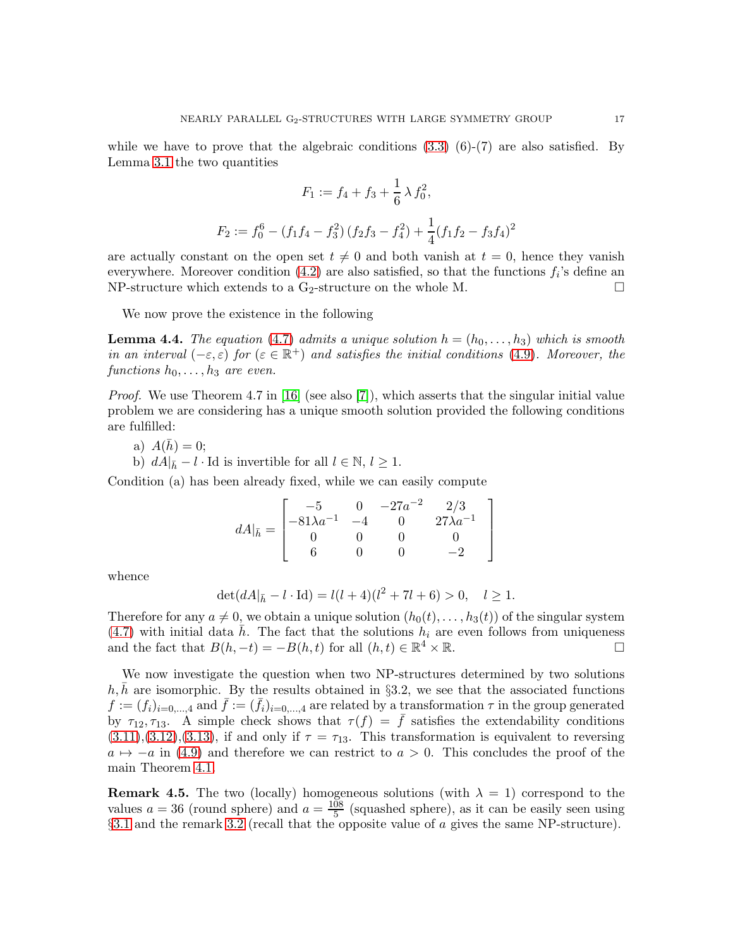while we have to prove that the algebraic conditions  $(3.3)$   $(6)-(7)$  are also satisfied. By Lemma [3.1](#page-7-1) the two quantities

$$
F_1 := f_4 + f_3 + \frac{1}{6} \lambda f_0^2,
$$
  

$$
F_2 := f_0^6 - (f_1 f_4 - f_3^2) (f_2 f_3 - f_4^2) + \frac{1}{4} (f_1 f_2 - f_3 f_4)^2
$$

are actually constant on the open set  $t \neq 0$  and both vanish at  $t = 0$ , hence they vanish everywhere. Moreover condition  $(4.2)$  are also satisfied, so that the functions  $f_i$ 's define an NP-structure which extends to a G<sub>2</sub>-structure on the whole M.  $\Box$ 

We now prove the existence in the following

**Lemma 4.4.** The equation [\(4.7\)](#page-15-0) admits a unique solution  $h = (h_0, \ldots, h_3)$  which is smooth in an interval  $(-\varepsilon, \varepsilon)$  for  $(\varepsilon \in \mathbb{R}^+)$  and satisfies the initial conditions [\(4.9\)](#page-15-1). Moreover, the functions  $h_0, \ldots, h_3$  are even.

Proof. We use Theorem 4.7 in [\[16\]](#page-19-4) (see also [\[7\]](#page-18-8)), which asserts that the singular initial value problem we are considering has a unique smooth solution provided the following conditions are fulfilled:

a) 
$$
A(\bar{h}) = 0;
$$

b)  $dA|_{\bar{h}} - l \cdot \text{Id}$  is invertible for all  $l \in \mathbb{N}, l \geq 1$ .

Condition (a) has been already fixed, while we can easily compute

$$
dA|_{\bar{h}} = \begin{bmatrix} -5 & 0 & -27a^{-2} & 2/3 \\ -81\lambda a^{-1} & -4 & 0 & 27\lambda a^{-1} \\ 0 & 0 & 0 & 0 \\ 6 & 0 & 0 & -2 \end{bmatrix}
$$

whence

$$
\det(dA|_{\bar{h}} - l \cdot \text{Id}) = l(l+4)(l^2 + 7l + 6) > 0, \quad l \ge 1.
$$

Therefore for any  $a \neq 0$ , we obtain a unique solution  $(h_0(t), \ldots, h_3(t))$  of the singular system [\(4.7\)](#page-15-0) with initial data  $\bar{h}$ . The fact that the solutions  $h_i$  are even follows from uniqueness and the fact that  $B(h, -t) = -B(h, t)$  for all  $(h, t) \in \mathbb{R}^4 \times \mathbb{R}$ .

We now investigate the question when two NP-structures determined by two solutions  $h, \bar{h}$  are isomorphic. By the results obtained in §3.2, we see that the associated functions  $f := (f_i)_{i=0,\dots,4}$  and  $\bar{f} := (\bar{f}_i)_{i=0,\dots,4}$  are related by a transformation  $\tau$  in the group generated by  $\tau_{12}, \tau_{13}$ . A simple check shows that  $\tau(f) = \bar{f}$  satisfies the extendability conditions  $(3.11), (3.12), (3.13),$  $(3.11), (3.12), (3.13),$  $(3.11), (3.12), (3.13),$  $(3.11), (3.12), (3.13),$  $(3.11), (3.12), (3.13),$  $(3.11), (3.12), (3.13),$  if and only if  $\tau = \tau_{13}$ . This transformation is equivalent to reversing  $a \mapsto -a$  in [\(4.9\)](#page-15-1) and therefore we can restrict to  $a > 0$ . This concludes the proof of the main Theorem [4.1.](#page-14-0)

**Remark 4.5.** The two (locally) homogeneous solutions (with  $\lambda = 1$ ) correspond to the values  $a = 36$  (round sphere) and  $a = \frac{108}{5}$  $\frac{08}{5}$  (squashed sphere), as it can be easily seen using §[3.1](#page-8-0) and the remark [3.2](#page-7-2) (recall that the opposite value of a gives the same NP-structure).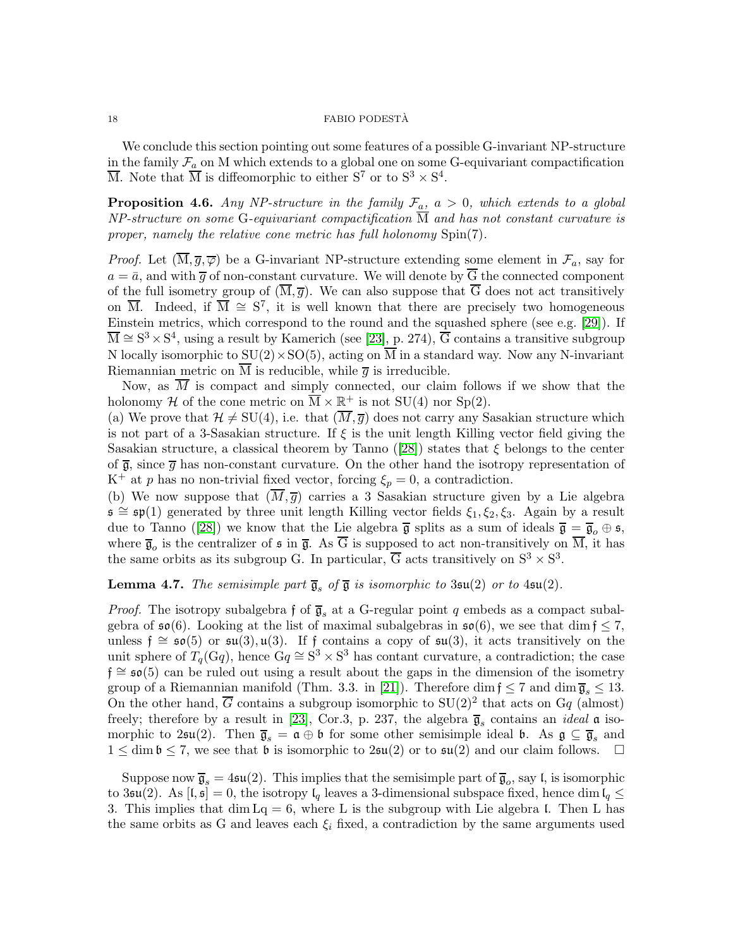We conclude this section pointing out some features of a possible G-invariant NP-structure in the family  $\mathcal{F}_a$  on M which extends to a global one on some G-equivariant compactification  $\overline{M}$ . Note that  $\overline{M}$  is diffeomorphic to either  $S^7$  or to  $S^3 \times S^4$ .

<span id="page-17-0"></span>**Proposition 4.6.** Any NP-structure in the family  $\mathcal{F}_a$ ,  $a > 0$ , which extends to a global NP-structure on some G-equivariant compactification  $\overline{M}$  and has not constant curvature is proper, namely the relative cone metric has full holonomy Spin(7).

*Proof.* Let  $(\overline{M}, \overline{g}, \overline{\varphi})$  be a G-invariant NP-structure extending some element in  $\mathcal{F}_a$ , say for  $a = \bar{a}$ , and with  $\bar{g}$  of non-constant curvature. We will denote by  $\bar{G}$  the connected component of the full isometry group of  $(\overline{M}, \overline{g})$ . We can also suppose that  $\overline{G}$  does not act transitively on  $\overline{M}$ . Indeed, if  $\overline{M} \cong S^7$ , it is well known that there are precisely two homogeneous Einstein metrics, which correspond to the round and the squashed sphere (see e.g. [\[29\]](#page-19-10)). If  $\overline{M} \cong S^3 \times S^4$ , using a result by Kamerich (see [\[23\]](#page-19-11), p. 274),  $\overline{G}$  contains a transitive subgroup N locally isomorphic to  $SU(2) \times SO(5)$ , acting on  $\overline{M}$  in a standard way. Now any N-invariant Riemannian metric on  $\overline{M}$  is reducible, while  $\overline{g}$  is irreducible.

Now, as  $\overline{M}$  is compact and simply connected, our claim follows if we show that the holonomy H of the cone metric on  $\overline{M} \times \underline{\mathbb{R}^+}$  is not SU(4) nor Sp(2).

(a) We prove that  $\mathcal{H} \neq SU(4)$ , i.e. that  $(\overline{M}, \overline{g})$  does not carry any Sasakian structure which is not part of a 3-Sasakian structure. If  $\xi$  is the unit length Killing vector field giving the Sasakian structure, a classical theorem by Tanno ([\[28\]](#page-19-12)) states that  $\xi$  belongs to the center of  $\overline{g}$ , since  $\overline{g}$  has non-constant curvature. On the other hand the isotropy representation of K<sup>+</sup> at p has no non-trivial fixed vector, forcing  $\xi_p = 0$ , a contradiction.

(b) We now suppose that  $(M,\overline{g})$  carries a 3 Sasakian structure given by a Lie algebra  $\mathfrak{s} \cong \mathfrak{sp}(1)$  generated by three unit length Killing vector fields  $\xi_1, \xi_2, \xi_3$ . Again by a result due to Tanno ([\[28\]](#page-19-12)) we know that the Lie algebra  $\bar{\mathfrak{g}}$  splits as a sum of ideals  $\bar{\mathfrak{g}} = \bar{\mathfrak{g}}_o \oplus \mathfrak{s}$ , where  $\overline{\mathfrak{g}}_o$  is the centralizer of  $\mathfrak s$  in  $\overline{\mathfrak g}$ . As G is supposed to act non-transitively on M, it has the same orbits as its subgroup G. In particular,  $\overline{G}$  acts transitively on  $S^3 \times S^3$ .

**Lemma 4.7.** The semisimple part  $\overline{g}_s$  of  $\overline{g}$  is isomorphic to 3 $\mathfrak{su}(2)$  or to 4 $\mathfrak{su}(2)$ .

*Proof.* The isotropy subalgebra f of  $\overline{g}_s$  at a G-regular point q embeds as a compact subalgebra of  $\mathfrak{so}(6)$ . Looking at the list of maximal subalgebras in  $\mathfrak{so}(6)$ , we see that dim  $f \leq 7$ , unless  $f \cong \mathfrak{so}(5)$  or  $\mathfrak{su}(3), \mathfrak{u}(3)$ . If f contains a copy of  $\mathfrak{su}(3)$ , it acts transitively on the unit sphere of  $T_q(\text{G}q)$ , hence  $\text{G}q \cong \text{S}^3 \times \text{S}^3$  has contant curvature, a contradiction; the case  $f \approx \mathfrak{so}(5)$  can be ruled out using a result about the gaps in the dimension of the isometry group of a Riemannian manifold (Thm. 3.3. in [\[21\]](#page-19-13)). Therefore dim  $f \le 7$  and dim  $\bar{g}_s \le 13$ . On the other hand,  $\overline{G}$  contains a subgroup isomorphic to  $SU(2)^2$  that acts on  $Gq$  (almost) freely; therefore by a result in [\[23\]](#page-19-11), Cor.3, p. 237, the algebra  $\bar{\mathfrak{g}}_s$  contains an *ideal*  $\mathfrak{a}$  isomorphic to  $2\mathfrak{su}(2)$ . Then  $\overline{\mathfrak{g}}_s = \mathfrak{a} \oplus \mathfrak{b}$  for some other semisimple ideal  $\mathfrak{b}$ . As  $\mathfrak{g} \subseteq \overline{\mathfrak{g}}_s$  and  $1 \leq \dim \mathfrak{b} \leq 7$ , we see that  $\mathfrak{b}$  is isomorphic to  $2\mathfrak{su}(2)$  or to  $\mathfrak{su}(2)$  and our claim follows.  $\Box$ 

Suppose now  $\overline{\mathfrak{g}}_s = 4\mathfrak{su}(2)$ . This implies that the semisimple part of  $\overline{\mathfrak{g}}_o$ , say l, is isomorphic to 3su(2). As  $[f, \xi] = 0$ , the isotropy  $I_q$  leaves a 3-dimensional subspace fixed, hence dim  $I_q \leq$ 3. This implies that  $\dim L_q = 6$ , where L is the subgroup with Lie algebra I. Then L has the same orbits as G and leaves each  $\xi_i$  fixed, a contradiction by the same arguments used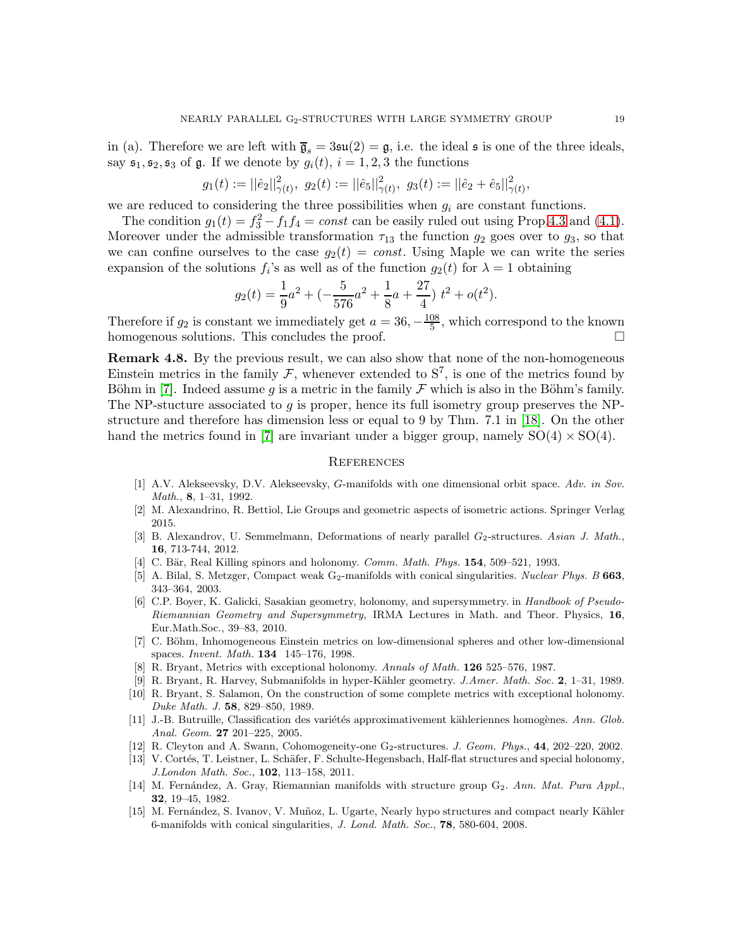in (a). Therefore we are left with  $\overline{\mathfrak{g}}_s = 3\mathfrak{su}(2) = \mathfrak{g}$ , i.e. the ideal  $\mathfrak s$  is one of the three ideals, say  $\mathfrak{s}_1, \mathfrak{s}_2, \mathfrak{s}_3$  of  $\mathfrak{g}$ . If we denote by  $g_i(t), i = 1, 2, 3$  the functions

$$
g_1(t) := ||\hat{e}_2||^2_{\gamma(t)}, \ g_2(t) := ||\hat{e}_5||^2_{\gamma(t)}, \ g_3(t) := ||\hat{e}_2 + \hat{e}_5||^2_{\gamma(t)},
$$

we are reduced to considering the three possibilities when  $g_i$  are constant functions.

The condition  $g_1(t) = f_3^2 - f_1 f_4 = const$  can be easily ruled out using Prop[.4.3](#page-15-2) and [\(4.1\)](#page-14-2). Moreover under the admissible transformation  $\tau_{13}$  the function  $g_2$  goes over to  $g_3$ , so that we can confine ourselves to the case  $g_2(t) = const.$  Using Maple we can write the series expansion of the solutions  $f_i$ 's as well as of the function  $g_2(t)$  for  $\lambda = 1$  obtaining

$$
g_2(t) = \frac{1}{9}a^2 + \left(-\frac{5}{576}a^2 + \frac{1}{8}a + \frac{27}{4}\right)t^2 + o(t^2).
$$

Therefore if  $g_2$  is constant we immediately get  $a = 36, -\frac{108}{5}$ , which correspond to the known homogenous solutions. This concludes the proof.

**Remark 4.8.** By the previous result, we can also show that none of the non-homogeneous Einstein metrics in the family  $\mathcal{F}$ , whenever extended to  $S^7$ , is one of the metrics found by Böhm in [\[7\]](#page-18-8). Indeed assume g is a metric in the family  $\mathcal F$  which is also in the Böhm's family. The NP-stucture associated to g is proper, hence its full isometry group preserves the NPstructure and therefore has dimension less or equal to 9 by Thm. 7.1 in [\[18\]](#page-19-1). On the other hand the metrics found in [\[7\]](#page-18-8) are invariant under a bigger group, namely  $SO(4) \times SO(4)$ .

#### **REFERENCES**

- <span id="page-18-9"></span>[1] A.V. Alekseevsky, D.V. Alekseevsky, G-manifolds with one dimensional orbit space. Adv. in Sov. Math., 8, 1–31, 1992.
- <span id="page-18-14"></span><span id="page-18-10"></span>[2] M. Alexandrino, R. Bettiol, Lie Groups and geometric aspects of isometric actions. Springer Verlag 2015.
- [3] B. Alexandrov, U. Semmelmann, Deformations of nearly parallel  $G_2$ -structures. Asian J. Math., 16, 713-744, 2012.
- <span id="page-18-7"></span><span id="page-18-1"></span>[4] C. Bär, Real Killing spinors and holonomy. Comm. Math. Phys.  $154$ ,  $509-521$ , 1993.
- [5] A. Bilal, S. Metzger, Compact weak G<sub>2</sub>-manifolds with conical singularities. Nuclear Phys. B 663, 343–364, 2003.
- <span id="page-18-2"></span>[6] C.P. Boyer, K. Galicki, Sasakian geometry, holonomy, and supersymmetry. in Handbook of Pseudo-Riemannian Geometry and Supersymmetry, IRMA Lectures in Math. and Theor. Physics, 16, Eur.Math.Soc., 39–83, 2010.
- <span id="page-18-8"></span>[7] C. Böhm, Inhomogeneous Einstein metrics on low-dimensional spheres and other low-dimensional spaces. Invent. Math. 134 145–176, 1998.
- <span id="page-18-13"></span><span id="page-18-11"></span>[8] R. Bryant, Metrics with exceptional holonomy. Annals of Math. **126** 525–576, 1987.
- [9] R. Bryant, R. Harvey, Submanifolds in hyper-Kähler geometry. J.Amer. Math. Soc. 2, 1–31, 1989.
- <span id="page-18-5"></span>[10] R. Bryant, S. Salamon, On the construction of some complete metrics with exceptional holonomy. Duke Math. J. 58, 829–850, 1989.
- <span id="page-18-3"></span>[11] J.-B. Butruille, Classification des variétés approximativement kähleriennes homogènes. Ann. Glob. Anal. Geom. 27 201–225, 2005.
- <span id="page-18-12"></span><span id="page-18-4"></span>[12] R. Cleyton and A. Swann, Cohomogeneity-one G<sub>2</sub>-structures. J. Geom. Phys., 44, 202–220, 2002.
- [13] V. Cortés, T. Leistner, L. Schäfer, F. Schulte-Hegensbach, Half-flat structures and special holonomy, J.London Math. Soc., 102, 113–158, 2011.
- <span id="page-18-0"></span>[14] M. Fernández, A. Gray, Riemannian manifolds with structure group  $G_2$ . Ann. Mat. Pura Appl., 32, 19–45, 1982.
- <span id="page-18-6"></span>[15] M. Fernández, S. Ivanov, V. Muñoz, L. Ugarte, Nearly hypo structures and compact nearly Kähler 6-manifolds with conical singularities, J. Lond. Math. Soc., 78, 580-604, 2008.